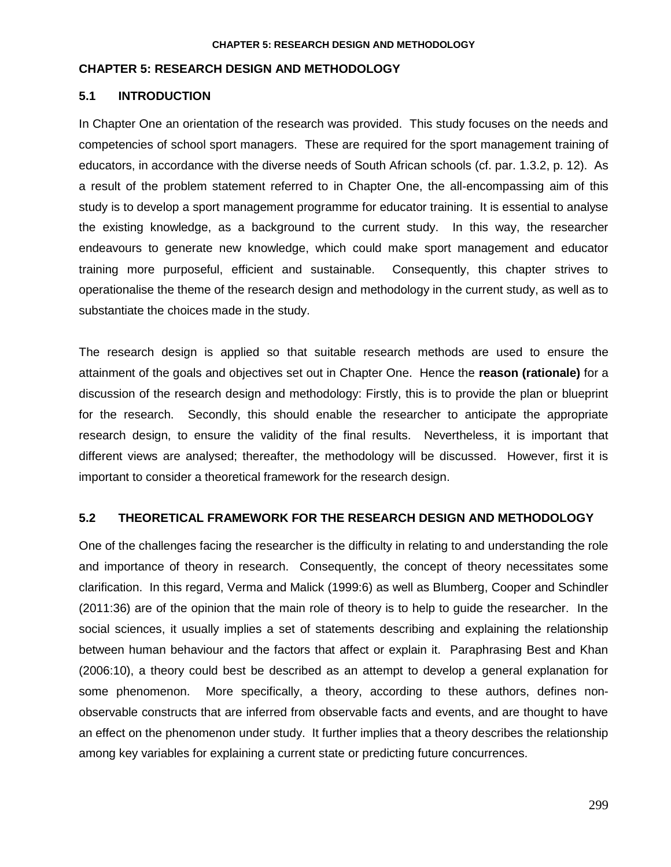### **CHAPTER 5: RESEARCH DESIGN AND METHODOLOGY**

## **5.1 INTRODUCTION**

In Chapter One an orientation of the research was provided. This study focuses on the needs and competencies of school sport managers. These are required for the sport management training of educators, in accordance with the diverse needs of South African schools (cf. par. 1.3.2, p. 12). As a result of the problem statement referred to in Chapter One, the all-encompassing aim of this study is to develop a sport management programme for educator training. It is essential to analyse the existing knowledge, as a background to the current study. In this way, the researcher endeavours to generate new knowledge, which could make sport management and educator training more purposeful, efficient and sustainable. Consequently, this chapter strives to operationalise the theme of the research design and methodology in the current study, as well as to substantiate the choices made in the study.

The research design is applied so that suitable research methods are used to ensure the attainment of the goals and objectives set out in Chapter One. Hence the **reason (rationale)** for a discussion of the research design and methodology: Firstly, this is to provide the plan or blueprint for the research. Secondly, this should enable the researcher to anticipate the appropriate research design, to ensure the validity of the final results. Nevertheless, it is important that different views are analysed; thereafter, the methodology will be discussed. However, first it is important to consider a theoretical framework for the research design.

## **5.2 THEORETICAL FRAMEWORK FOR THE RESEARCH DESIGN AND METHODOLOGY**

One of the challenges facing the researcher is the difficulty in relating to and understanding the role and importance of theory in research. Consequently, the concept of theory necessitates some clarification. In this regard, Verma and Malick (1999:6) as well as Blumberg, Cooper and Schindler (2011:36) are of the opinion that the main role of theory is to help to guide the researcher. In the social sciences, it usually implies a set of statements describing and explaining the relationship between human behaviour and the factors that affect or explain it. Paraphrasing Best and Khan (2006:10), a theory could best be described as an attempt to develop a general explanation for some phenomenon. More specifically, a theory, according to these authors, defines nonobservable constructs that are inferred from observable facts and events, and are thought to have an effect on the phenomenon under study. It further implies that a theory describes the relationship among key variables for explaining a current state or predicting future concurrences.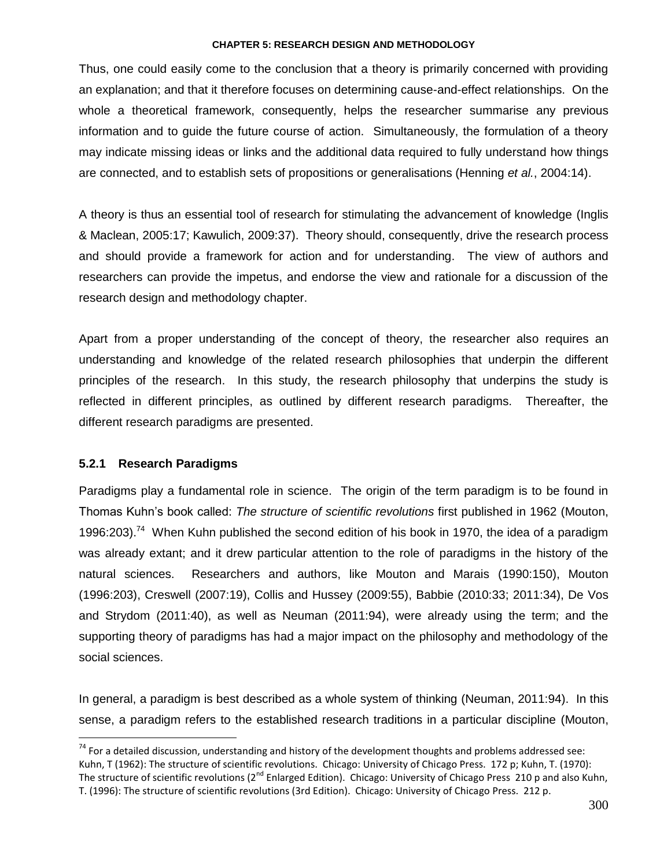Thus, one could easily come to the conclusion that a theory is primarily concerned with providing an explanation; and that it therefore focuses on determining cause-and-effect relationships. On the whole a theoretical framework, consequently, helps the researcher summarise any previous information and to guide the future course of action. Simultaneously, the formulation of a theory may indicate missing ideas or links and the additional data required to fully understand how things are connected, and to establish sets of propositions or generalisations (Henning *et al.*, 2004:14).

A theory is thus an essential tool of research for stimulating the advancement of knowledge (Inglis & Maclean, 2005:17; Kawulich, 2009:37). Theory should, consequently, drive the research process and should provide a framework for action and for understanding. The view of authors and researchers can provide the impetus, and endorse the view and rationale for a discussion of the research design and methodology chapter.

Apart from a proper understanding of the concept of theory, the researcher also requires an understanding and knowledge of the related research philosophies that underpin the different principles of the research. In this study, the research philosophy that underpins the study is reflected in different principles, as outlined by different research paradigms. Thereafter, the different research paradigms are presented.

# **5.2.1 Research Paradigms**

 $\overline{a}$ 

Paradigms play a fundamental role in science. The origin of the term paradigm is to be found in Thomas Kuhn"s book called: *The structure of scientific revolutions* first published in 1962 (Mouton, 1996:203).<sup>74</sup> When Kuhn published the second edition of his book in 1970, the idea of a paradigm was already extant; and it drew particular attention to the role of paradigms in the history of the natural sciences. Researchers and authors, like Mouton and Marais (1990:150), Mouton (1996:203), Creswell (2007:19), Collis and Hussey (2009:55), Babbie (2010:33; 2011:34), De Vos and Strydom (2011:40), as well as Neuman (2011:94), were already using the term; and the supporting theory of paradigms has had a major impact on the philosophy and methodology of the social sciences.

In general, a paradigm is best described as a whole system of thinking (Neuman, 2011:94). In this sense, a paradigm refers to the established research traditions in a particular discipline (Mouton,

 $74$  For a detailed discussion, understanding and history of the development thoughts and problems addressed see: Kuhn, T (1962): The structure of scientific revolutions. Chicago: University of Chicago Press. 172 p; Kuhn, T. (1970): The structure of scientific revolutions ( $2^{nd}$  Enlarged Edition). Chicago: University of Chicago Press 210 p and also Kuhn, T. (1996): The structure of scientific revolutions (3rd Edition). Chicago: University of Chicago Press. 212 p.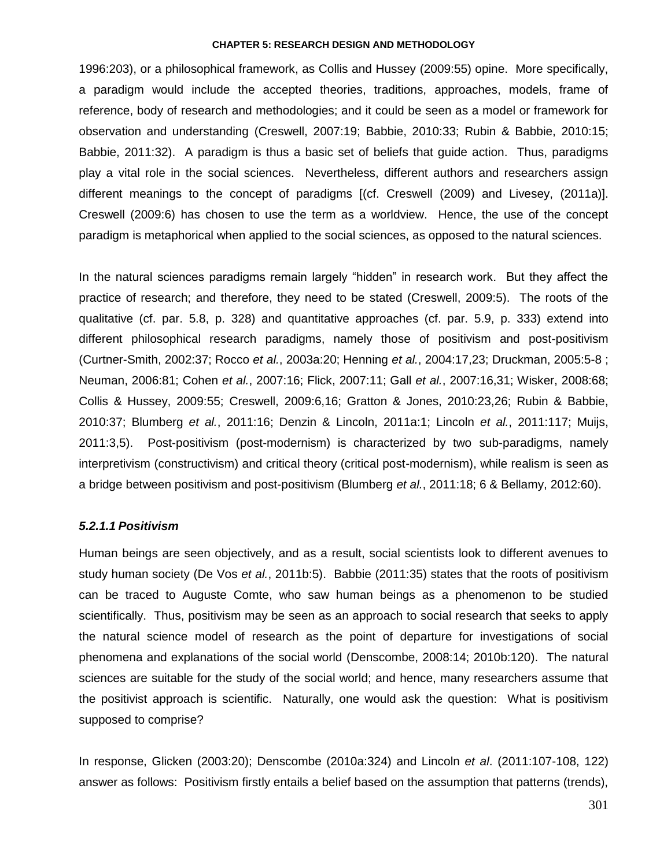1996:203), or a philosophical framework, as Collis and Hussey (2009:55) opine. More specifically, a paradigm would include the accepted theories, traditions, approaches, models, frame of reference, body of research and methodologies; and it could be seen as a model or framework for observation and understanding (Creswell, 2007:19; Babbie, 2010:33; Rubin & Babbie, 2010:15; Babbie, 2011:32). A paradigm is thus a basic set of beliefs that guide action. Thus, paradigms play a vital role in the social sciences. Nevertheless, different authors and researchers assign different meanings to the concept of paradigms [(cf. Creswell (2009) and Livesey, (2011a)]. Creswell (2009:6) has chosen to use the term as a worldview. Hence, the use of the concept paradigm is metaphorical when applied to the social sciences, as opposed to the natural sciences.

In the natural sciences paradigms remain largely "hidden" in research work. But they affect the practice of research; and therefore, they need to be stated (Creswell, 2009:5). The roots of the qualitative (cf. par. 5.8, p. 328) and quantitative approaches (cf. par. 5.9, p. 333) extend into different philosophical research paradigms, namely those of positivism and post-positivism (Curtner-Smith, 2002:37; Rocco *et al.*, 2003a:20; Henning *et al.*, 2004:17,23; Druckman, 2005:5-8 ; Neuman, 2006:81; Cohen *et al.*, 2007:16; Flick, 2007:11; Gall *et al.*, 2007:16,31; Wisker, 2008:68; Collis & Hussey, 2009:55; Creswell, 2009:6,16; Gratton & Jones, 2010:23,26; Rubin & Babbie, 2010:37; Blumberg *et al.*, 2011:16; Denzin & Lincoln, 2011a:1; Lincoln *et al.*, 2011:117; Muijs, 2011:3,5). Post-positivism (post-modernism) is characterized by two sub-paradigms, namely interpretivism (constructivism) and critical theory (critical post-modernism), while realism is seen as a bridge between positivism and post-positivism (Blumberg *et al.*, 2011:18; 6 & Bellamy, 2012:60).

### *5.2.1.1 Positivism*

Human beings are seen objectively, and as a result, social scientists look to different avenues to study human society (De Vos *et al.*, 2011b:5). Babbie (2011:35) states that the roots of positivism can be traced to Auguste Comte, who saw human beings as a phenomenon to be studied scientifically. Thus, positivism may be seen as an approach to social research that seeks to apply the natural science model of research as the point of departure for investigations of social phenomena and explanations of the social world (Denscombe, 2008:14; 2010b:120). The natural sciences are suitable for the study of the social world; and hence, many researchers assume that the positivist approach is scientific. Naturally, one would ask the question: What is positivism supposed to comprise?

In response, Glicken (2003:20); Denscombe (2010a:324) and Lincoln *et al*. (2011:107-108, 122) answer as follows: Positivism firstly entails a belief based on the assumption that patterns (trends),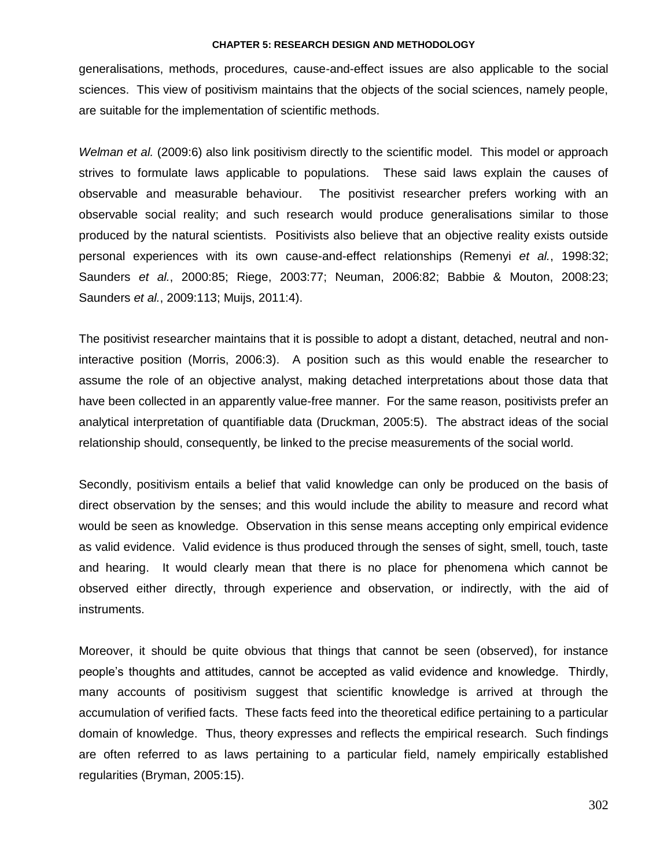generalisations, methods, procedures, cause-and-effect issues are also applicable to the social sciences. This view of positivism maintains that the objects of the social sciences, namely people, are suitable for the implementation of scientific methods.

*Welman et al.* (2009:6) also link positivism directly to the scientific model. This model or approach strives to formulate laws applicable to populations. These said laws explain the causes of observable and measurable behaviour. The positivist researcher prefers working with an observable social reality; and such research would produce generalisations similar to those produced by the natural scientists. Positivists also believe that an objective reality exists outside personal experiences with its own cause-and-effect relationships (Remenyi *et al.*, 1998:32; Saunders *et al.*, 2000:85; Riege, 2003:77; Neuman, 2006:82; Babbie & Mouton, 2008:23; Saunders *et al.*, 2009:113; Muijs, 2011:4).

The positivist researcher maintains that it is possible to adopt a distant, detached, neutral and noninteractive position (Morris, 2006:3). A position such as this would enable the researcher to assume the role of an objective analyst, making detached interpretations about those data that have been collected in an apparently value-free manner. For the same reason, positivists prefer an analytical interpretation of quantifiable data (Druckman, 2005:5). The abstract ideas of the social relationship should, consequently, be linked to the precise measurements of the social world.

Secondly, positivism entails a belief that valid knowledge can only be produced on the basis of direct observation by the senses; and this would include the ability to measure and record what would be seen as knowledge. Observation in this sense means accepting only empirical evidence as valid evidence. Valid evidence is thus produced through the senses of sight, smell, touch, taste and hearing. It would clearly mean that there is no place for phenomena which cannot be observed either directly, through experience and observation, or indirectly, with the aid of instruments.

Moreover, it should be quite obvious that things that cannot be seen (observed), for instance people"s thoughts and attitudes, cannot be accepted as valid evidence and knowledge. Thirdly, many accounts of positivism suggest that scientific knowledge is arrived at through the accumulation of verified facts. These facts feed into the theoretical edifice pertaining to a particular domain of knowledge. Thus, theory expresses and reflects the empirical research. Such findings are often referred to as laws pertaining to a particular field, namely empirically established regularities (Bryman, 2005:15).

302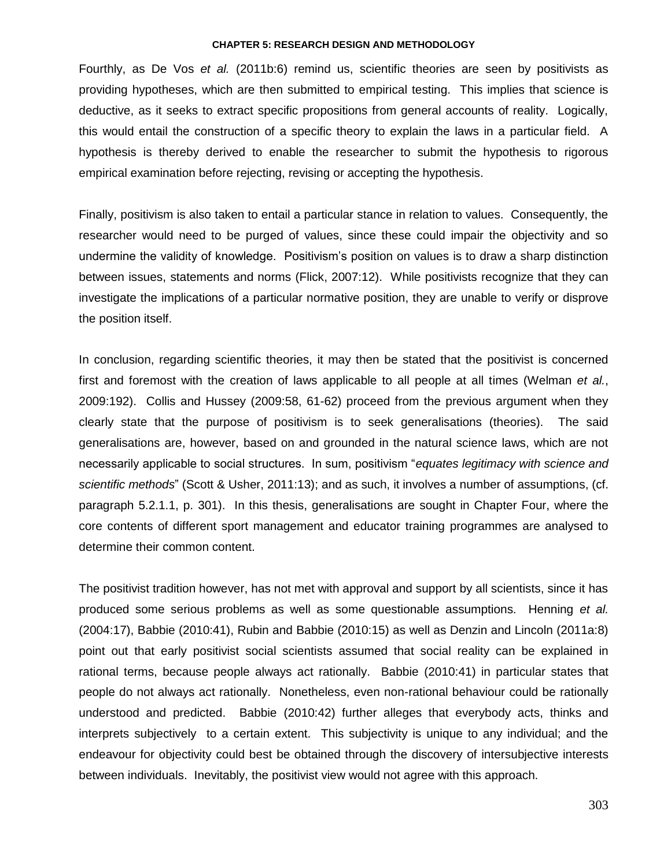Fourthly, as De Vos *et al.* (2011b:6) remind us, scientific theories are seen by positivists as providing hypotheses, which are then submitted to empirical testing. This implies that science is deductive, as it seeks to extract specific propositions from general accounts of reality. Logically, this would entail the construction of a specific theory to explain the laws in a particular field. A hypothesis is thereby derived to enable the researcher to submit the hypothesis to rigorous empirical examination before rejecting, revising or accepting the hypothesis.

Finally, positivism is also taken to entail a particular stance in relation to values. Consequently, the researcher would need to be purged of values, since these could impair the objectivity and so undermine the validity of knowledge. Positivism"s position on values is to draw a sharp distinction between issues, statements and norms (Flick, 2007:12). While positivists recognize that they can investigate the implications of a particular normative position, they are unable to verify or disprove the position itself.

In conclusion, regarding scientific theories, it may then be stated that the positivist is concerned first and foremost with the creation of laws applicable to all people at all times (Welman *et al.*, 2009:192). Collis and Hussey (2009:58, 61-62) proceed from the previous argument when they clearly state that the purpose of positivism is to seek generalisations (theories). The said generalisations are, however, based on and grounded in the natural science laws, which are not necessarily applicable to social structures. In sum, positivism "*equates legitimacy with science and scientific methods*" (Scott & Usher, 2011:13); and as such, it involves a number of assumptions, (cf. paragraph 5.2.1.1, p. 301). In this thesis, generalisations are sought in Chapter Four, where the core contents of different sport management and educator training programmes are analysed to determine their common content.

The positivist tradition however, has not met with approval and support by all scientists, since it has produced some serious problems as well as some questionable assumptions. Henning *et al.* (2004:17), Babbie (2010:41), Rubin and Babbie (2010:15) as well as Denzin and Lincoln (2011a:8) point out that early positivist social scientists assumed that social reality can be explained in rational terms, because people always act rationally. Babbie (2010:41) in particular states that people do not always act rationally. Nonetheless, even non-rational behaviour could be rationally understood and predicted. Babbie (2010:42) further alleges that everybody acts, thinks and interprets subjectively to a certain extent. This subjectivity is unique to any individual; and the endeavour for objectivity could best be obtained through the discovery of intersubjective interests between individuals. Inevitably, the positivist view would not agree with this approach.

303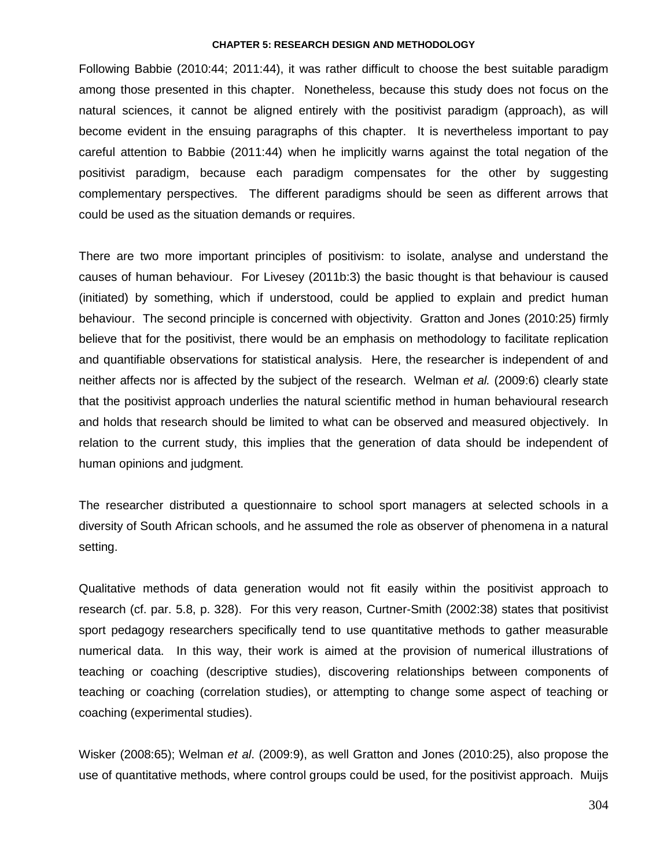Following Babbie (2010:44; 2011:44), it was rather difficult to choose the best suitable paradigm among those presented in this chapter. Nonetheless, because this study does not focus on the natural sciences, it cannot be aligned entirely with the positivist paradigm (approach), as will become evident in the ensuing paragraphs of this chapter. It is nevertheless important to pay careful attention to Babbie (2011:44) when he implicitly warns against the total negation of the positivist paradigm, because each paradigm compensates for the other by suggesting complementary perspectives. The different paradigms should be seen as different arrows that could be used as the situation demands or requires.

There are two more important principles of positivism: to isolate, analyse and understand the causes of human behaviour. For Livesey (2011b:3) the basic thought is that behaviour is caused (initiated) by something, which if understood, could be applied to explain and predict human behaviour. The second principle is concerned with objectivity. Gratton and Jones (2010:25) firmly believe that for the positivist, there would be an emphasis on methodology to facilitate replication and quantifiable observations for statistical analysis. Here, the researcher is independent of and neither affects nor is affected by the subject of the research. Welman *et al.* (2009:6) clearly state that the positivist approach underlies the natural scientific method in human behavioural research and holds that research should be limited to what can be observed and measured objectively. In relation to the current study, this implies that the generation of data should be independent of human opinions and judgment.

The researcher distributed a questionnaire to school sport managers at selected schools in a diversity of South African schools, and he assumed the role as observer of phenomena in a natural setting.

Qualitative methods of data generation would not fit easily within the positivist approach to research (cf. par. 5.8, p. 328). For this very reason, Curtner-Smith (2002:38) states that positivist sport pedagogy researchers specifically tend to use quantitative methods to gather measurable numerical data. In this way, their work is aimed at the provision of numerical illustrations of teaching or coaching (descriptive studies), discovering relationships between components of teaching or coaching (correlation studies), or attempting to change some aspect of teaching or coaching (experimental studies).

Wisker (2008:65); Welman *et al*. (2009:9), as well Gratton and Jones (2010:25), also propose the use of quantitative methods, where control groups could be used, for the positivist approach. Muijs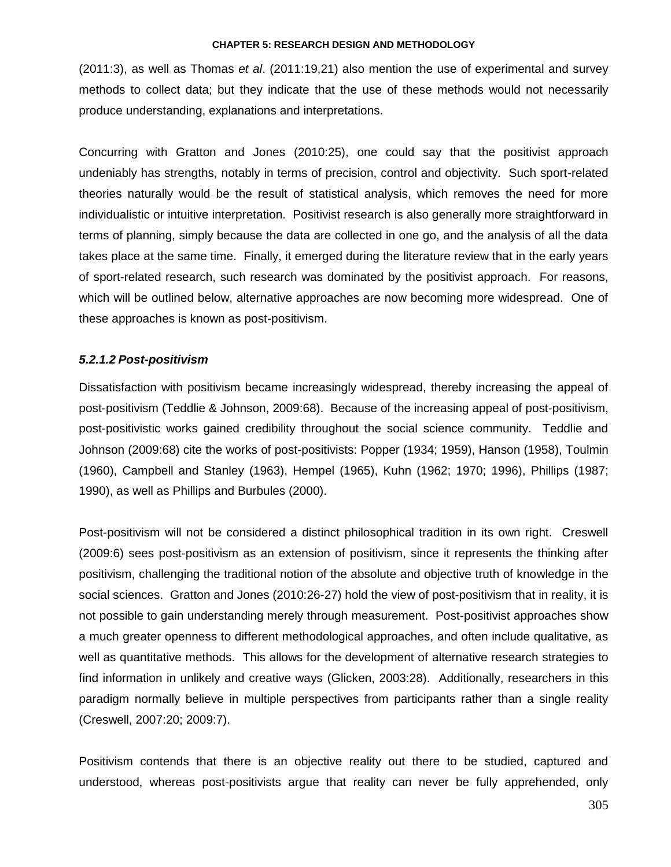(2011:3), as well as Thomas *et al*. (2011:19,21) also mention the use of experimental and survey methods to collect data; but they indicate that the use of these methods would not necessarily produce understanding, explanations and interpretations.

Concurring with Gratton and Jones (2010:25), one could say that the positivist approach undeniably has strengths, notably in terms of precision, control and objectivity. Such sport-related theories naturally would be the result of statistical analysis, which removes the need for more individualistic or intuitive interpretation. Positivist research is also generally more straightforward in terms of planning, simply because the data are collected in one go, and the analysis of all the data takes place at the same time. Finally, it emerged during the literature review that in the early years of sport-related research, such research was dominated by the positivist approach. For reasons, which will be outlined below, alternative approaches are now becoming more widespread. One of these approaches is known as post-positivism.

### *5.2.1.2 Post-positivism*

Dissatisfaction with positivism became increasingly widespread, thereby increasing the appeal of post-positivism (Teddlie & Johnson, 2009:68). Because of the increasing appeal of post-positivism, post-positivistic works gained credibility throughout the social science community. Teddlie and Johnson (2009:68) cite the works of post-positivists: Popper (1934; 1959), Hanson (1958), Toulmin (1960), Campbell and Stanley (1963), Hempel (1965), Kuhn (1962; 1970; 1996), Phillips (1987; 1990), as well as Phillips and Burbules (2000).

Post-positivism will not be considered a distinct philosophical tradition in its own right. Creswell (2009:6) sees post-positivism as an extension of positivism, since it represents the thinking after positivism, challenging the traditional notion of the absolute and objective truth of knowledge in the social sciences. Gratton and Jones (2010:26-27) hold the view of post-positivism that in reality, it is not possible to gain understanding merely through measurement. Post-positivist approaches show a much greater openness to different methodological approaches, and often include qualitative, as well as quantitative methods. This allows for the development of alternative research strategies to find information in unlikely and creative ways (Glicken, 2003:28). Additionally, researchers in this paradigm normally believe in multiple perspectives from participants rather than a single reality (Creswell, 2007:20; 2009:7).

Positivism contends that there is an objective reality out there to be studied, captured and understood, whereas post-positivists argue that reality can never be fully apprehended, only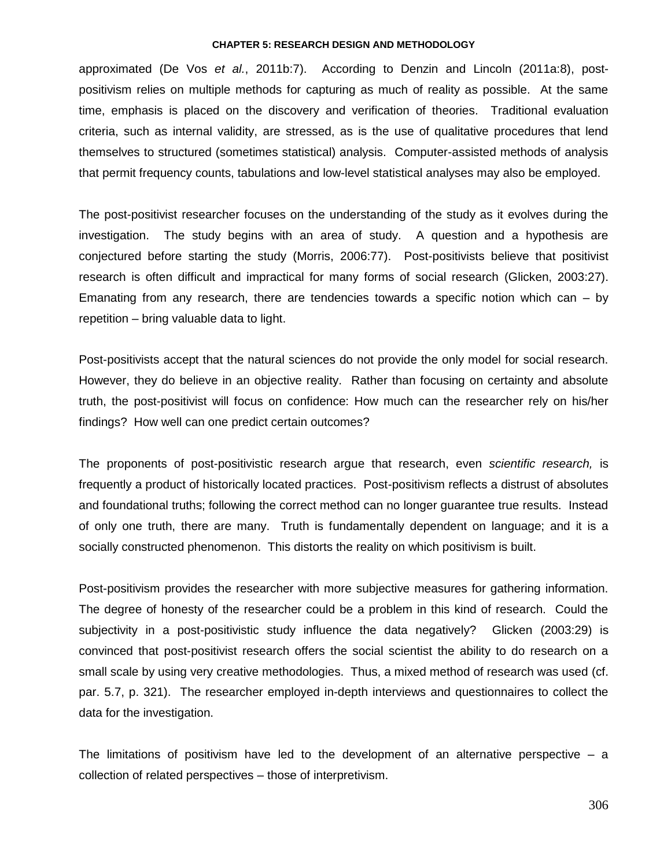approximated (De Vos *et al.*, 2011b:7). According to Denzin and Lincoln (2011a:8), postpositivism relies on multiple methods for capturing as much of reality as possible. At the same time, emphasis is placed on the discovery and verification of theories. Traditional evaluation criteria, such as internal validity, are stressed, as is the use of qualitative procedures that lend themselves to structured (sometimes statistical) analysis. Computer-assisted methods of analysis that permit frequency counts, tabulations and low-level statistical analyses may also be employed.

The post-positivist researcher focuses on the understanding of the study as it evolves during the investigation. The study begins with an area of study. A question and a hypothesis are conjectured before starting the study (Morris, 2006:77). Post-positivists believe that positivist research is often difficult and impractical for many forms of social research (Glicken, 2003:27). Emanating from any research, there are tendencies towards a specific notion which can – by repetition – bring valuable data to light.

Post-positivists accept that the natural sciences do not provide the only model for social research. However, they do believe in an objective reality. Rather than focusing on certainty and absolute truth, the post-positivist will focus on confidence: How much can the researcher rely on his/her findings? How well can one predict certain outcomes?

The proponents of post-positivistic research argue that research, even *scientific research,* is frequently a product of historically located practices. Post-positivism reflects a distrust of absolutes and foundational truths; following the correct method can no longer guarantee true results. Instead of only one truth, there are many. Truth is fundamentally dependent on language; and it is a socially constructed phenomenon. This distorts the reality on which positivism is built.

Post-positivism provides the researcher with more subjective measures for gathering information. The degree of honesty of the researcher could be a problem in this kind of research. Could the subjectivity in a post-positivistic study influence the data negatively? Glicken (2003:29) is convinced that post-positivist research offers the social scientist the ability to do research on a small scale by using very creative methodologies. Thus, a mixed method of research was used (cf. par. 5.7, p. 321). The researcher employed in-depth interviews and questionnaires to collect the data for the investigation.

The limitations of positivism have led to the development of an alternative perspective  $-$  a collection of related perspectives – those of interpretivism.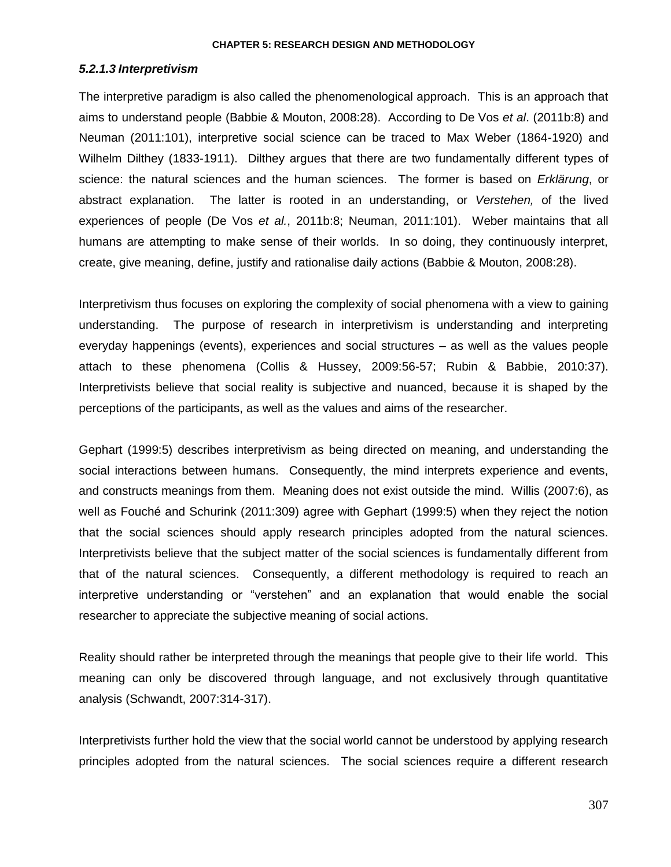## *5.2.1.3 Interpretivism*

The interpretive paradigm is also called the phenomenological approach. This is an approach that aims to understand people (Babbie & Mouton, 2008:28). According to De Vos *et al*. (2011b:8) and Neuman (2011:101), interpretive social science can be traced to Max Weber (1864-1920) and Wilhelm Dilthey (1833-1911). Dilthey argues that there are two fundamentally different types of science: the natural sciences and the human sciences. The former is based on *Erklärung*, or abstract explanation. The latter is rooted in an understanding, or *Verstehen,* of the lived experiences of people (De Vos *et al.*, 2011b:8; Neuman, 2011:101). Weber maintains that all humans are attempting to make sense of their worlds. In so doing, they continuously interpret, create, give meaning, define, justify and rationalise daily actions (Babbie & Mouton, 2008:28).

Interpretivism thus focuses on exploring the complexity of social phenomena with a view to gaining understanding. The purpose of research in interpretivism is understanding and interpreting everyday happenings (events), experiences and social structures – as well as the values people attach to these phenomena (Collis & Hussey, 2009:56-57; Rubin & Babbie, 2010:37). Interpretivists believe that social reality is subjective and nuanced, because it is shaped by the perceptions of the participants, as well as the values and aims of the researcher.

Gephart (1999:5) describes interpretivism as being directed on meaning, and understanding the social interactions between humans. Consequently, the mind interprets experience and events, and constructs meanings from them. Meaning does not exist outside the mind. Willis (2007:6), as well as Fouché and Schurink (2011:309) agree with Gephart (1999:5) when they reject the notion that the social sciences should apply research principles adopted from the natural sciences. Interpretivists believe that the subject matter of the social sciences is fundamentally different from that of the natural sciences. Consequently, a different methodology is required to reach an interpretive understanding or "verstehen" and an explanation that would enable the social researcher to appreciate the subjective meaning of social actions.

Reality should rather be interpreted through the meanings that people give to their life world. This meaning can only be discovered through language, and not exclusively through quantitative analysis (Schwandt, 2007:314-317).

Interpretivists further hold the view that the social world cannot be understood by applying research principles adopted from the natural sciences. The social sciences require a different research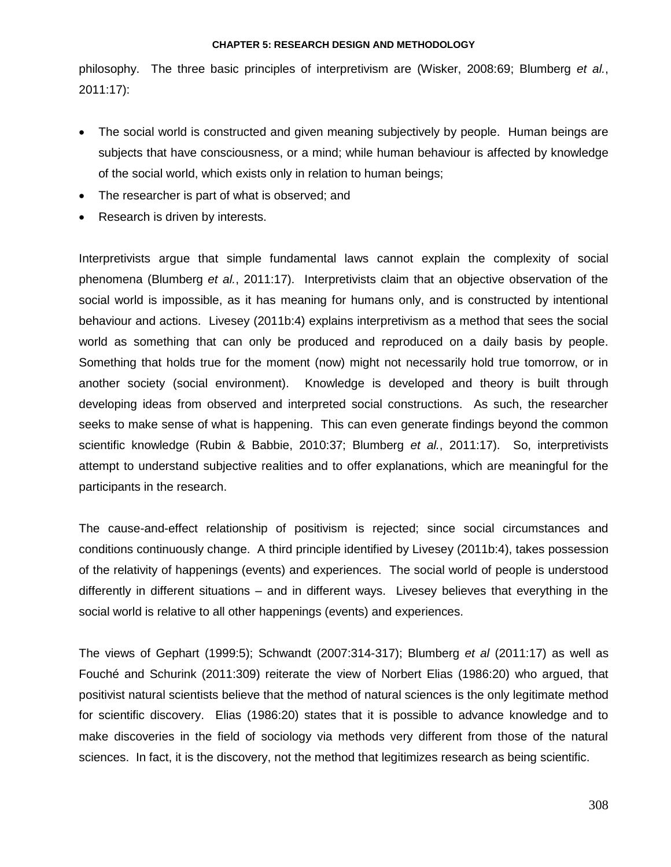philosophy. The three basic principles of interpretivism are (Wisker, 2008:69; Blumberg *et al.*, 2011:17):

- The social world is constructed and given meaning subjectively by people. Human beings are subjects that have consciousness, or a mind; while human behaviour is affected by knowledge of the social world, which exists only in relation to human beings;
- The researcher is part of what is observed; and
- Research is driven by interests.

Interpretivists argue that simple fundamental laws cannot explain the complexity of social phenomena (Blumberg *et al.*, 2011:17). Interpretivists claim that an objective observation of the social world is impossible, as it has meaning for humans only, and is constructed by intentional behaviour and actions. Livesey (2011b:4) explains interpretivism as a method that sees the social world as something that can only be produced and reproduced on a daily basis by people. Something that holds true for the moment (now) might not necessarily hold true tomorrow, or in another society (social environment). Knowledge is developed and theory is built through developing ideas from observed and interpreted social constructions. As such, the researcher seeks to make sense of what is happening. This can even generate findings beyond the common scientific knowledge (Rubin & Babbie, 2010:37; Blumberg *et al.*, 2011:17). So, interpretivists attempt to understand subjective realities and to offer explanations, which are meaningful for the participants in the research.

The cause-and-effect relationship of positivism is rejected; since social circumstances and conditions continuously change. A third principle identified by Livesey (2011b:4), takes possession of the relativity of happenings (events) and experiences. The social world of people is understood differently in different situations – and in different ways. Livesey believes that everything in the social world is relative to all other happenings (events) and experiences.

The views of Gephart (1999:5); Schwandt (2007:314-317); Blumberg *et al* (2011:17) as well as Fouché and Schurink (2011:309) reiterate the view of Norbert Elias (1986:20) who argued, that positivist natural scientists believe that the method of natural sciences is the only legitimate method for scientific discovery. Elias (1986:20) states that it is possible to advance knowledge and to make discoveries in the field of sociology via methods very different from those of the natural sciences. In fact, it is the discovery, not the method that legitimizes research as being scientific.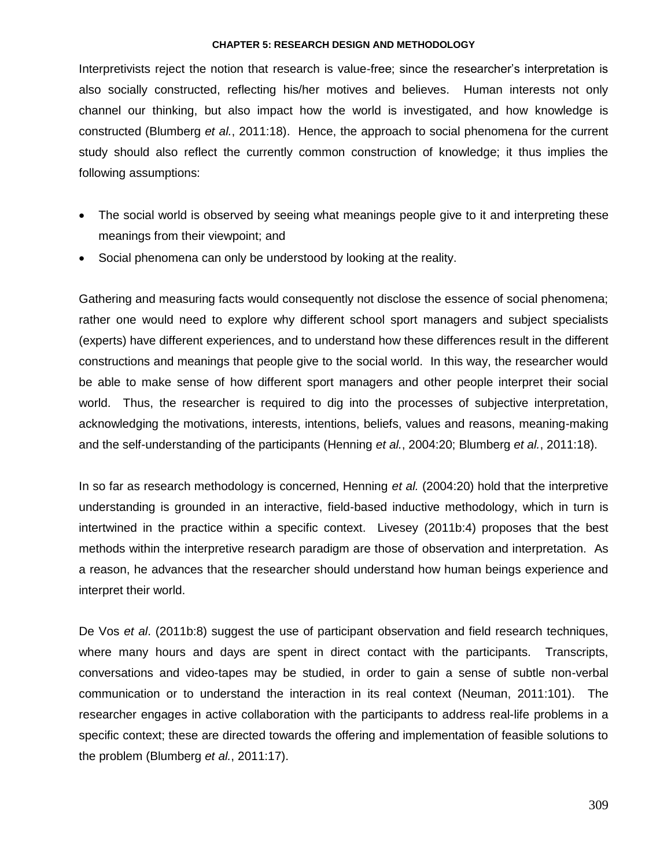Interpretivists reject the notion that research is value-free; since the researcher"s interpretation is also socially constructed, reflecting his/her motives and believes. Human interests not only channel our thinking, but also impact how the world is investigated, and how knowledge is constructed (Blumberg *et al.*, 2011:18). Hence, the approach to social phenomena for the current study should also reflect the currently common construction of knowledge; it thus implies the following assumptions:

- The social world is observed by seeing what meanings people give to it and interpreting these meanings from their viewpoint; and
- Social phenomena can only be understood by looking at the reality.

Gathering and measuring facts would consequently not disclose the essence of social phenomena; rather one would need to explore why different school sport managers and subject specialists (experts) have different experiences, and to understand how these differences result in the different constructions and meanings that people give to the social world. In this way, the researcher would be able to make sense of how different sport managers and other people interpret their social world. Thus, the researcher is required to dig into the processes of subjective interpretation, acknowledging the motivations, interests, intentions, beliefs, values and reasons, meaning-making and the self-understanding of the participants (Henning *et al.*, 2004:20; Blumberg *et al.*, 2011:18).

In so far as research methodology is concerned, Henning *et al.* (2004:20) hold that the interpretive understanding is grounded in an interactive, field-based inductive methodology, which in turn is intertwined in the practice within a specific context. Livesey (2011b:4) proposes that the best methods within the interpretive research paradigm are those of observation and interpretation. As a reason, he advances that the researcher should understand how human beings experience and interpret their world.

De Vos *et al*. (2011b:8) suggest the use of participant observation and field research techniques, where many hours and days are spent in direct contact with the participants. Transcripts, conversations and video-tapes may be studied, in order to gain a sense of subtle non-verbal communication or to understand the interaction in its real context (Neuman, 2011:101). The researcher engages in active collaboration with the participants to address real-life problems in a specific context; these are directed towards the offering and implementation of feasible solutions to the problem (Blumberg *et al.*, 2011:17).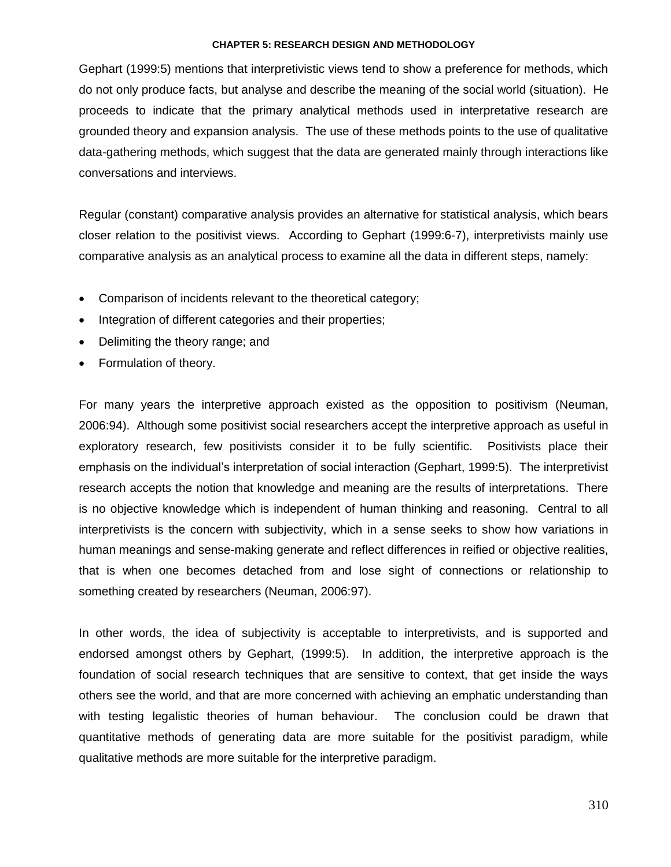Gephart (1999:5) mentions that interpretivistic views tend to show a preference for methods, which do not only produce facts, but analyse and describe the meaning of the social world (situation). He proceeds to indicate that the primary analytical methods used in interpretative research are grounded theory and expansion analysis. The use of these methods points to the use of qualitative data-gathering methods, which suggest that the data are generated mainly through interactions like conversations and interviews.

Regular (constant) comparative analysis provides an alternative for statistical analysis, which bears closer relation to the positivist views. According to Gephart (1999:6-7), interpretivists mainly use comparative analysis as an analytical process to examine all the data in different steps, namely:

- Comparison of incidents relevant to the theoretical category;
- Integration of different categories and their properties;
- Delimiting the theory range; and
- Formulation of theory.

For many years the interpretive approach existed as the opposition to positivism (Neuman, 2006:94). Although some positivist social researchers accept the interpretive approach as useful in exploratory research, few positivists consider it to be fully scientific. Positivists place their emphasis on the individual"s interpretation of social interaction (Gephart, 1999:5). The interpretivist research accepts the notion that knowledge and meaning are the results of interpretations. There is no objective knowledge which is independent of human thinking and reasoning. Central to all interpretivists is the concern with subjectivity, which in a sense seeks to show how variations in human meanings and sense-making generate and reflect differences in reified or objective realities, that is when one becomes detached from and lose sight of connections or relationship to something created by researchers (Neuman, 2006:97).

In other words, the idea of subjectivity is acceptable to interpretivists, and is supported and endorsed amongst others by Gephart, (1999:5). In addition, the interpretive approach is the foundation of social research techniques that are sensitive to context, that get inside the ways others see the world, and that are more concerned with achieving an emphatic understanding than with testing legalistic theories of human behaviour. The conclusion could be drawn that quantitative methods of generating data are more suitable for the positivist paradigm, while qualitative methods are more suitable for the interpretive paradigm.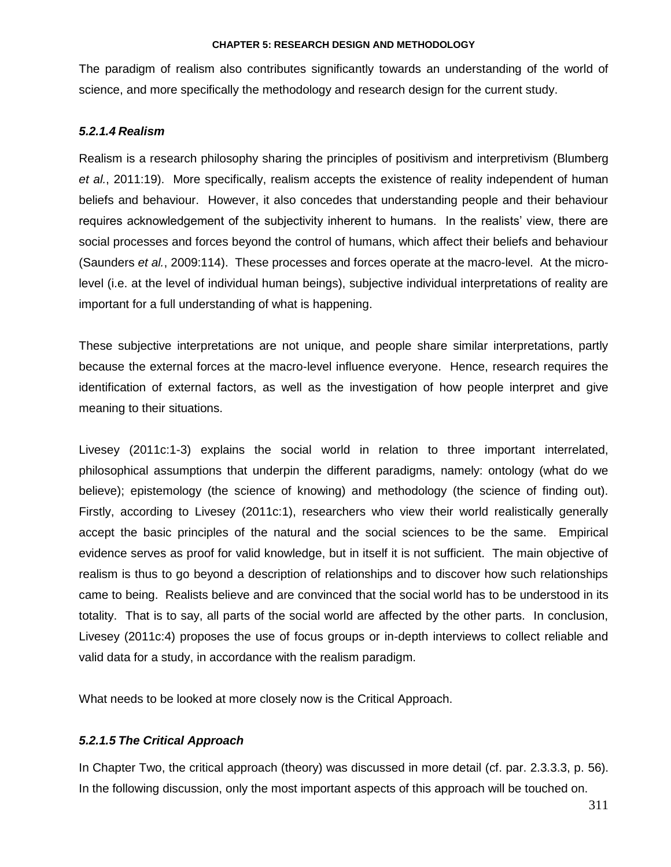The paradigm of realism also contributes significantly towards an understanding of the world of science, and more specifically the methodology and research design for the current study.

# *5.2.1.4 Realism*

Realism is a research philosophy sharing the principles of positivism and interpretivism (Blumberg *et al.*, 2011:19). More specifically, realism accepts the existence of reality independent of human beliefs and behaviour. However, it also concedes that understanding people and their behaviour requires acknowledgement of the subjectivity inherent to humans. In the realists' view, there are social processes and forces beyond the control of humans, which affect their beliefs and behaviour (Saunders *et al.*, 2009:114). These processes and forces operate at the macro-level. At the microlevel (i.e. at the level of individual human beings), subjective individual interpretations of reality are important for a full understanding of what is happening.

These subjective interpretations are not unique, and people share similar interpretations, partly because the external forces at the macro-level influence everyone. Hence, research requires the identification of external factors, as well as the investigation of how people interpret and give meaning to their situations.

Livesey (2011c:1-3) explains the social world in relation to three important interrelated, philosophical assumptions that underpin the different paradigms, namely: ontology (what do we believe); epistemology (the science of knowing) and methodology (the science of finding out). Firstly, according to Livesey (2011c:1), researchers who view their world realistically generally accept the basic principles of the natural and the social sciences to be the same. Empirical evidence serves as proof for valid knowledge, but in itself it is not sufficient. The main objective of realism is thus to go beyond a description of relationships and to discover how such relationships came to being. Realists believe and are convinced that the social world has to be understood in its totality. That is to say, all parts of the social world are affected by the other parts. In conclusion, Livesey (2011c:4) proposes the use of focus groups or in-depth interviews to collect reliable and valid data for a study, in accordance with the realism paradigm.

What needs to be looked at more closely now is the Critical Approach.

# *5.2.1.5 The Critical Approach*

In Chapter Two, the critical approach (theory) was discussed in more detail (cf. par. 2.3.3.3, p. 56). In the following discussion, only the most important aspects of this approach will be touched on.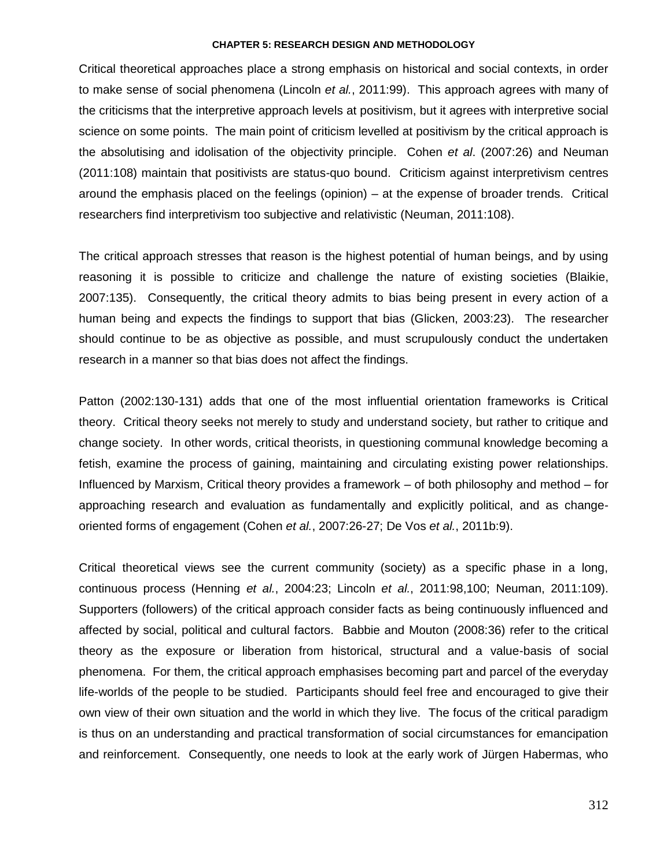Critical theoretical approaches place a strong emphasis on historical and social contexts, in order to make sense of social phenomena (Lincoln *et al.*, 2011:99). This approach agrees with many of the criticisms that the interpretive approach levels at positivism, but it agrees with interpretive social science on some points. The main point of criticism levelled at positivism by the critical approach is the absolutising and idolisation of the objectivity principle. Cohen *et al*. (2007:26) and Neuman (2011:108) maintain that positivists are status-quo bound. Criticism against interpretivism centres around the emphasis placed on the feelings (opinion) – at the expense of broader trends. Critical researchers find interpretivism too subjective and relativistic (Neuman, 2011:108).

The critical approach stresses that reason is the highest potential of human beings, and by using reasoning it is possible to criticize and challenge the nature of existing societies (Blaikie, 2007:135). Consequently, the critical theory admits to bias being present in every action of a human being and expects the findings to support that bias (Glicken, 2003:23). The researcher should continue to be as objective as possible, and must scrupulously conduct the undertaken research in a manner so that bias does not affect the findings.

Patton (2002:130-131) adds that one of the most influential orientation frameworks is Critical theory. Critical theory seeks not merely to study and understand society, but rather to critique and change society. In other words, critical theorists, in questioning communal knowledge becoming a fetish, examine the process of gaining, maintaining and circulating existing power relationships. Influenced by Marxism, Critical theory provides a framework – of both philosophy and method – for approaching research and evaluation as fundamentally and explicitly political, and as changeoriented forms of engagement (Cohen *et al.*, 2007:26-27; De Vos *et al.*, 2011b:9).

Critical theoretical views see the current community (society) as a specific phase in a long, continuous process (Henning *et al.*, 2004:23; Lincoln *et al.*, 2011:98,100; Neuman, 2011:109). Supporters (followers) of the critical approach consider facts as being continuously influenced and affected by social, political and cultural factors. Babbie and Mouton (2008:36) refer to the critical theory as the exposure or liberation from historical, structural and a value-basis of social phenomena. For them, the critical approach emphasises becoming part and parcel of the everyday life-worlds of the people to be studied. Participants should feel free and encouraged to give their own view of their own situation and the world in which they live. The focus of the critical paradigm is thus on an understanding and practical transformation of social circumstances for emancipation and reinforcement. Consequently, one needs to look at the early work of Jürgen Habermas, who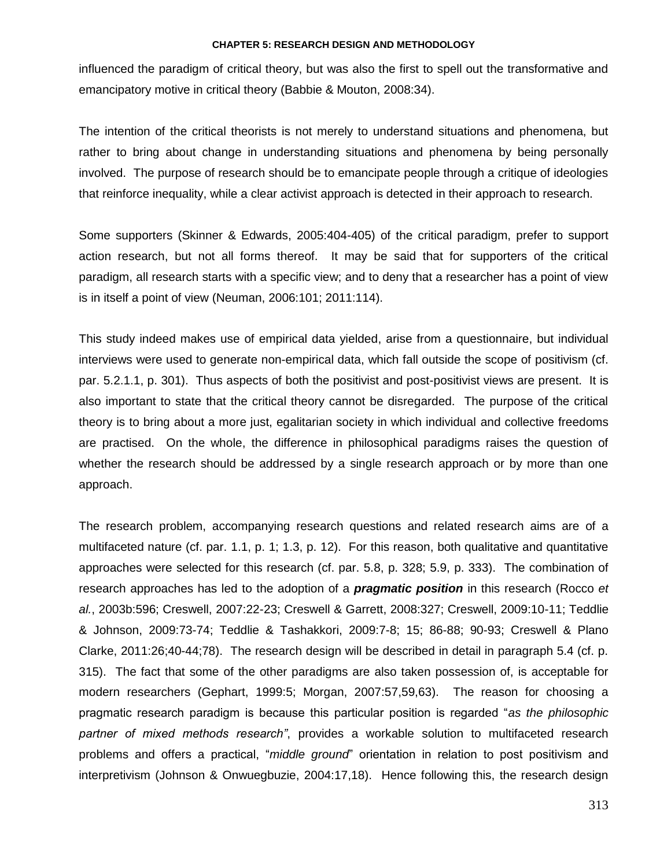influenced the paradigm of critical theory, but was also the first to spell out the transformative and emancipatory motive in critical theory (Babbie & Mouton, 2008:34).

The intention of the critical theorists is not merely to understand situations and phenomena, but rather to bring about change in understanding situations and phenomena by being personally involved. The purpose of research should be to emancipate people through a critique of ideologies that reinforce inequality, while a clear activist approach is detected in their approach to research.

Some supporters (Skinner & Edwards, 2005:404-405) of the critical paradigm, prefer to support action research, but not all forms thereof. It may be said that for supporters of the critical paradigm, all research starts with a specific view; and to deny that a researcher has a point of view is in itself a point of view (Neuman, 2006:101; 2011:114).

This study indeed makes use of empirical data yielded, arise from a questionnaire, but individual interviews were used to generate non-empirical data, which fall outside the scope of positivism (cf. par. 5.2.1.1, p. 301). Thus aspects of both the positivist and post-positivist views are present. It is also important to state that the critical theory cannot be disregarded. The purpose of the critical theory is to bring about a more just, egalitarian society in which individual and collective freedoms are practised. On the whole, the difference in philosophical paradigms raises the question of whether the research should be addressed by a single research approach or by more than one approach.

The research problem, accompanying research questions and related research aims are of a multifaceted nature (cf. par. 1.1, p. 1; 1.3, p. 12). For this reason, both qualitative and quantitative approaches were selected for this research (cf. par. 5.8, p. 328; 5.9, p. 333). The combination of research approaches has led to the adoption of a *pragmatic position* in this research (Rocco *et al.*, 2003b:596; Creswell, 2007:22-23; Creswell & Garrett, 2008:327; Creswell, 2009:10-11; Teddlie & Johnson, 2009:73-74; Teddlie & Tashakkori, 2009:7-8; 15; 86-88; 90-93; Creswell & Plano Clarke, 2011:26;40-44;78). The research design will be described in detail in paragraph 5.4 (cf. p. 315). The fact that some of the other paradigms are also taken possession of, is acceptable for modern researchers (Gephart, 1999:5; Morgan, 2007:57,59,63). The reason for choosing a pragmatic research paradigm is because this particular position is regarded "*as the philosophic partner of mixed methods research"*, provides a workable solution to multifaceted research problems and offers a practical, "*middle ground*" orientation in relation to post positivism and interpretivism (Johnson & Onwuegbuzie, 2004:17,18). Hence following this, the research design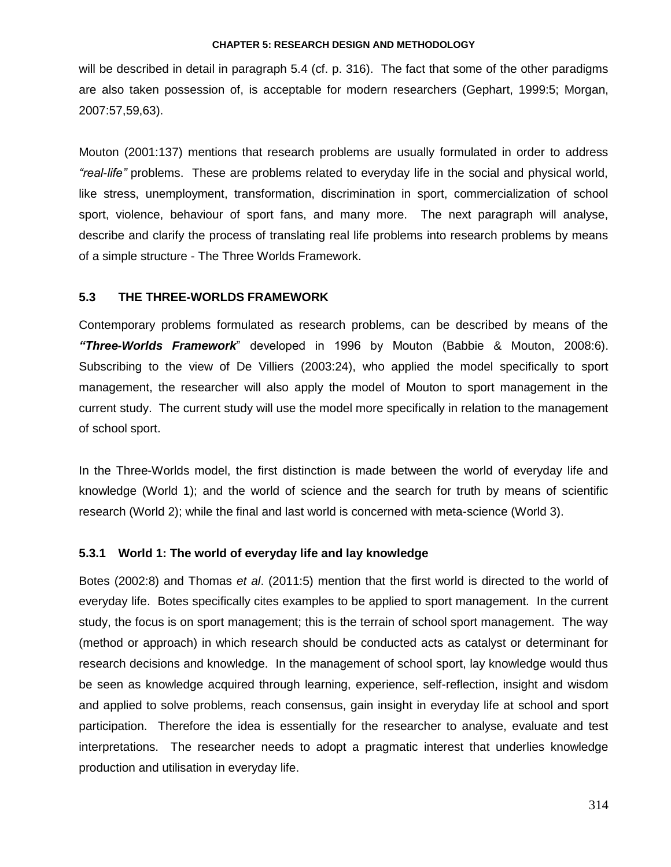will be described in detail in paragraph 5.4 (cf. p. 316). The fact that some of the other paradigms are also taken possession of, is acceptable for modern researchers (Gephart, 1999:5; Morgan, 2007:57,59,63).

Mouton (2001:137) mentions that research problems are usually formulated in order to address *"real-life"* problems. These are problems related to everyday life in the social and physical world, like stress, unemployment, transformation, discrimination in sport, commercialization of school sport, violence, behaviour of sport fans, and many more. The next paragraph will analyse, describe and clarify the process of translating real life problems into research problems by means of a simple structure - The Three Worlds Framework.

### **5.3 THE THREE-WORLDS FRAMEWORK**

Contemporary problems formulated as research problems, can be described by means of the *"Three-Worlds Framework*" developed in 1996 by Mouton (Babbie & Mouton, 2008:6). Subscribing to the view of De Villiers (2003:24), who applied the model specifically to sport management, the researcher will also apply the model of Mouton to sport management in the current study. The current study will use the model more specifically in relation to the management of school sport.

In the Three-Worlds model, the first distinction is made between the world of everyday life and knowledge (World 1); and the world of science and the search for truth by means of scientific research (World 2); while the final and last world is concerned with meta-science (World 3).

# **5.3.1 World 1: The world of everyday life and lay knowledge**

Botes (2002:8) and Thomas *et al*. (2011:5) mention that the first world is directed to the world of everyday life. Botes specifically cites examples to be applied to sport management. In the current study, the focus is on sport management; this is the terrain of school sport management. The way (method or approach) in which research should be conducted acts as catalyst or determinant for research decisions and knowledge. In the management of school sport, lay knowledge would thus be seen as knowledge acquired through learning, experience, self-reflection, insight and wisdom and applied to solve problems, reach consensus, gain insight in everyday life at school and sport participation. Therefore the idea is essentially for the researcher to analyse, evaluate and test interpretations. The researcher needs to adopt a pragmatic interest that underlies knowledge production and utilisation in everyday life.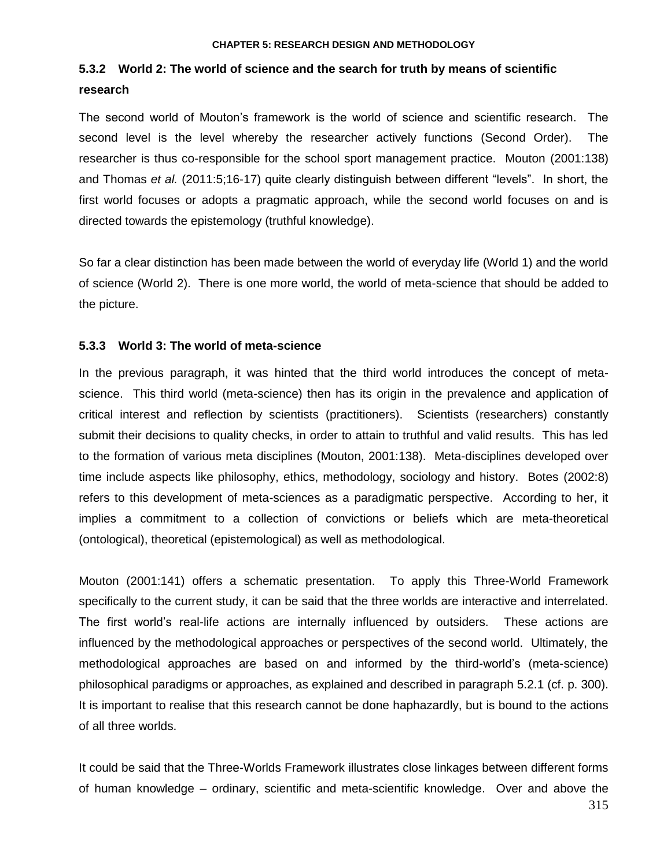# **5.3.2 World 2: The world of science and the search for truth by means of scientific research**

The second world of Mouton"s framework is the world of science and scientific research. The second level is the level whereby the researcher actively functions (Second Order). The researcher is thus co-responsible for the school sport management practice. Mouton (2001:138) and Thomas *et al.* (2011:5;16-17) quite clearly distinguish between different "levels". In short, the first world focuses or adopts a pragmatic approach, while the second world focuses on and is directed towards the epistemology (truthful knowledge).

So far a clear distinction has been made between the world of everyday life (World 1) and the world of science (World 2). There is one more world, the world of meta-science that should be added to the picture.

## **5.3.3 World 3: The world of meta-science**

In the previous paragraph, it was hinted that the third world introduces the concept of metascience. This third world (meta-science) then has its origin in the prevalence and application of critical interest and reflection by scientists (practitioners). Scientists (researchers) constantly submit their decisions to quality checks, in order to attain to truthful and valid results. This has led to the formation of various meta disciplines (Mouton, 2001:138). Meta-disciplines developed over time include aspects like philosophy, ethics, methodology, sociology and history. Botes (2002:8) refers to this development of meta-sciences as a paradigmatic perspective. According to her, it implies a commitment to a collection of convictions or beliefs which are meta-theoretical (ontological), theoretical (epistemological) as well as methodological.

Mouton (2001:141) offers a schematic presentation. To apply this Three-World Framework specifically to the current study, it can be said that the three worlds are interactive and interrelated. The first world"s real-life actions are internally influenced by outsiders. These actions are influenced by the methodological approaches or perspectives of the second world. Ultimately, the methodological approaches are based on and informed by the third-world"s (meta-science) philosophical paradigms or approaches, as explained and described in paragraph 5.2.1 (cf. p. 300). It is important to realise that this research cannot be done haphazardly, but is bound to the actions of all three worlds.

It could be said that the Three-Worlds Framework illustrates close linkages between different forms of human knowledge – ordinary, scientific and meta-scientific knowledge. Over and above the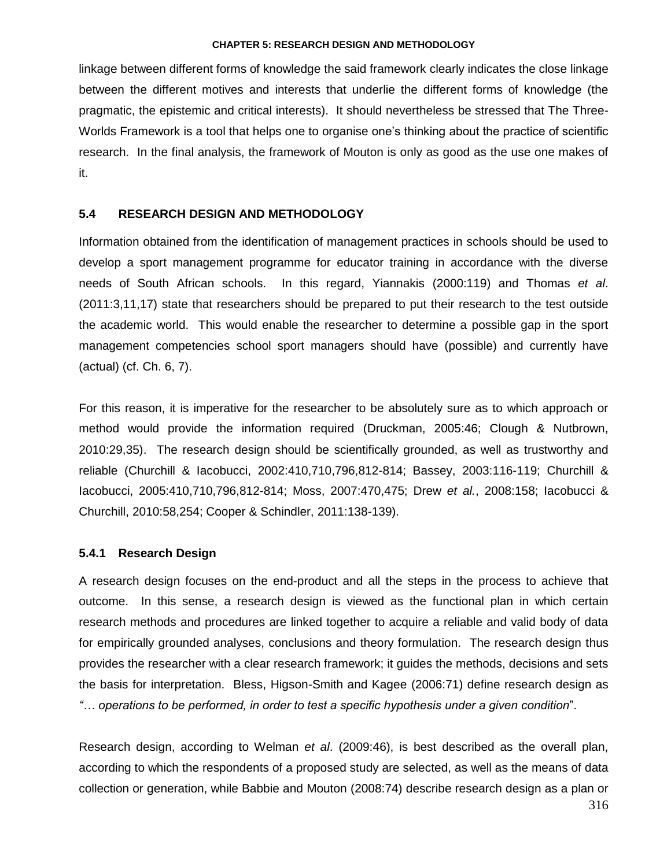linkage between different forms of knowledge the said framework clearly indicates the close linkage between the different motives and interests that underlie the different forms of knowledge (the pragmatic, the epistemic and critical interests). It should nevertheless be stressed that The Three-Worlds Framework is a tool that helps one to organise one"s thinking about the practice of scientific research. In the final analysis, the framework of Mouton is only as good as the use one makes of it.

# **5.4 RESEARCH DESIGN AND METHODOLOGY**

Information obtained from the identification of management practices in schools should be used to develop a sport management programme for educator training in accordance with the diverse needs of South African schools. In this regard, Yiannakis (2000:119) and Thomas *et al*. (2011:3,11,17) state that researchers should be prepared to put their research to the test outside the academic world. This would enable the researcher to determine a possible gap in the sport management competencies school sport managers should have (possible) and currently have (actual) (cf. Ch. 6, 7).

For this reason, it is imperative for the researcher to be absolutely sure as to which approach or method would provide the information required (Druckman, 2005:46; Clough & Nutbrown, 2010:29,35). The research design should be scientifically grounded, as well as trustworthy and reliable (Churchill & Iacobucci, 2002:410,710,796,812-814; Bassey, 2003:116-119; Churchill & Iacobucci, 2005:410,710,796,812-814; Moss, 2007:470,475; Drew *et al.*, 2008:158; Iacobucci & Churchill, 2010:58,254; Cooper & Schindler, 2011:138-139).

# **5.4.1 Research Design**

A research design focuses on the end-product and all the steps in the process to achieve that outcome. In this sense, a research design is viewed as the functional plan in which certain research methods and procedures are linked together to acquire a reliable and valid body of data for empirically grounded analyses, conclusions and theory formulation. The research design thus provides the researcher with a clear research framework; it guides the methods, decisions and sets the basis for interpretation. Bless, Higson-Smith and Kagee (2006:71) define research design as *"… operations to be performed, in order to test a specific hypothesis under a given condition*".

Research design, according to Welman *et al*. (2009:46), is best described as the overall plan, according to which the respondents of a proposed study are selected, as well as the means of data collection or generation, while Babbie and Mouton (2008:74) describe research design as a plan or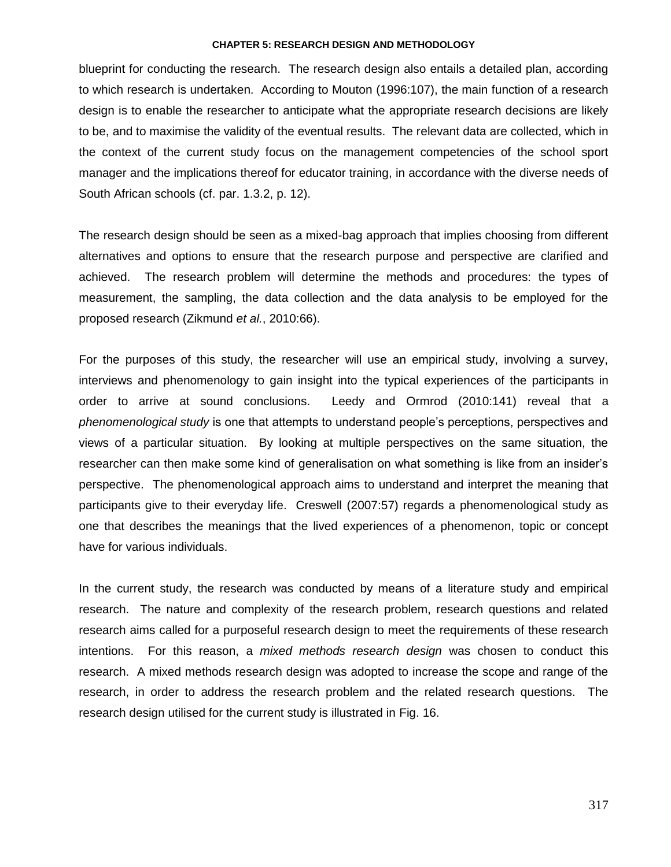blueprint for conducting the research. The research design also entails a detailed plan, according to which research is undertaken. According to Mouton (1996:107), the main function of a research design is to enable the researcher to anticipate what the appropriate research decisions are likely to be, and to maximise the validity of the eventual results. The relevant data are collected, which in the context of the current study focus on the management competencies of the school sport manager and the implications thereof for educator training, in accordance with the diverse needs of South African schools (cf. par. 1.3.2, p. 12).

The research design should be seen as a mixed-bag approach that implies choosing from different alternatives and options to ensure that the research purpose and perspective are clarified and achieved. The research problem will determine the methods and procedures: the types of measurement, the sampling, the data collection and the data analysis to be employed for the proposed research (Zikmund *et al.*, 2010:66).

For the purposes of this study, the researcher will use an empirical study, involving a survey, interviews and phenomenology to gain insight into the typical experiences of the participants in order to arrive at sound conclusions. Leedy and Ormrod (2010:141) reveal that a *phenomenological study* is one that attempts to understand people"s perceptions, perspectives and views of a particular situation. By looking at multiple perspectives on the same situation, the researcher can then make some kind of generalisation on what something is like from an insider"s perspective. The phenomenological approach aims to understand and interpret the meaning that participants give to their everyday life. Creswell (2007:57) regards a phenomenological study as one that describes the meanings that the lived experiences of a phenomenon, topic or concept have for various individuals.

In the current study, the research was conducted by means of a literature study and empirical research. The nature and complexity of the research problem, research questions and related research aims called for a purposeful research design to meet the requirements of these research intentions. For this reason, a *mixed methods research design* was chosen to conduct this research. A mixed methods research design was adopted to increase the scope and range of the research, in order to address the research problem and the related research questions. The research design utilised for the current study is illustrated in Fig. 16.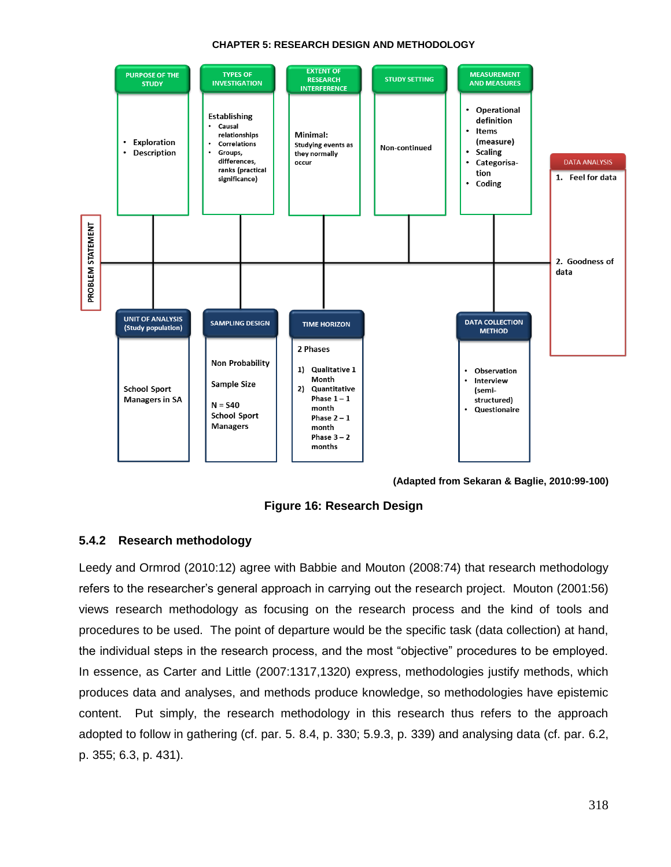

**(Adapted from Sekaran & Baglie, 2010:99-100)**

**Figure 16: Research Design**

# **5.4.2 Research methodology**

Leedy and Ormrod (2010:12) agree with Babbie and Mouton (2008:74) that research methodology refers to the researcher"s general approach in carrying out the research project. Mouton (2001:56) views research methodology as focusing on the research process and the kind of tools and procedures to be used. The point of departure would be the specific task (data collection) at hand, the individual steps in the research process, and the most "objective" procedures to be employed. In essence, as Carter and Little (2007:1317,1320) express, methodologies justify methods, which produces data and analyses, and methods produce knowledge, so methodologies have epistemic content. Put simply, the research methodology in this research thus refers to the approach adopted to follow in gathering (cf. par. 5. 8.4, p. 330; 5.9.3, p. 339) and analysing data (cf. par. 6.2, p. 355; 6.3, p. 431).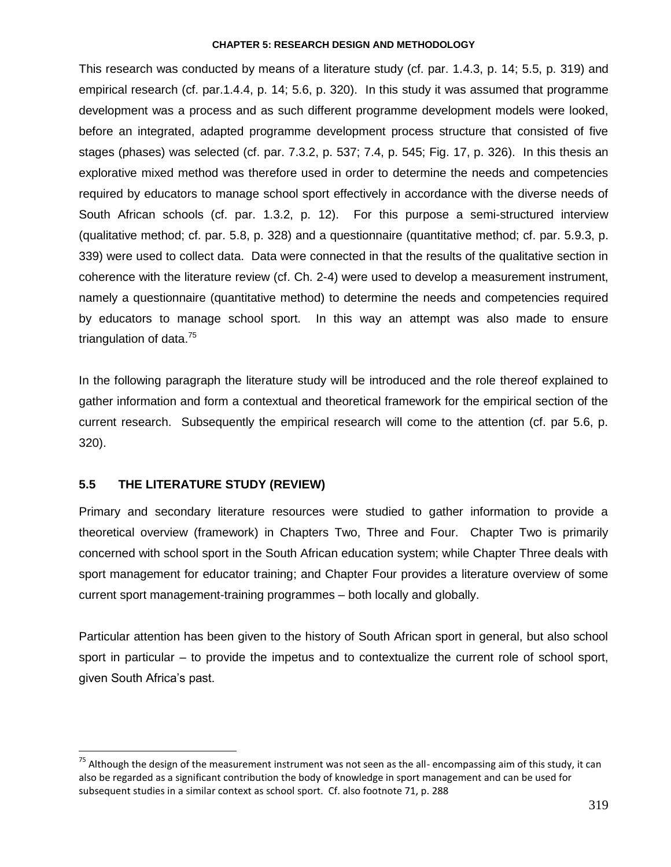This research was conducted by means of a literature study (cf. par. 1.4.3, p. 14; 5.5, p. 319) and empirical research (cf. par.1.4.4, p. 14; 5.6, p. 320). In this study it was assumed that programme development was a process and as such different programme development models were looked, before an integrated, adapted programme development process structure that consisted of five stages (phases) was selected (cf. par. 7.3.2, p. 537; 7.4, p. 545; Fig. 17, p. 326). In this thesis an explorative mixed method was therefore used in order to determine the needs and competencies required by educators to manage school sport effectively in accordance with the diverse needs of South African schools (cf. par. 1.3.2, p. 12). For this purpose a semi-structured interview (qualitative method; cf. par. 5.8, p. 328) and a questionnaire (quantitative method; cf. par. 5.9.3, p. 339) were used to collect data. Data were connected in that the results of the qualitative section in coherence with the literature review (cf. Ch. 2-4) were used to develop a measurement instrument, namely a questionnaire (quantitative method) to determine the needs and competencies required by educators to manage school sport. In this way an attempt was also made to ensure triangulation of data.<sup>75</sup>

In the following paragraph the literature study will be introduced and the role thereof explained to gather information and form a contextual and theoretical framework for the empirical section of the current research. Subsequently the empirical research will come to the attention (cf. par 5.6, p. 320).

# **5.5 THE LITERATURE STUDY (REVIEW)**

 $\overline{a}$ 

Primary and secondary literature resources were studied to gather information to provide a theoretical overview (framework) in Chapters Two, Three and Four. Chapter Two is primarily concerned with school sport in the South African education system; while Chapter Three deals with sport management for educator training; and Chapter Four provides a literature overview of some current sport management-training programmes – both locally and globally.

Particular attention has been given to the history of South African sport in general, but also school sport in particular – to provide the impetus and to contextualize the current role of school sport, given South Africa"s past.

 $75$  Although the design of the measurement instrument was not seen as the all- encompassing aim of this study, it can also be regarded as a significant contribution the body of knowledge in sport management and can be used for subsequent studies in a similar context as school sport. Cf. also footnote 71, p. 288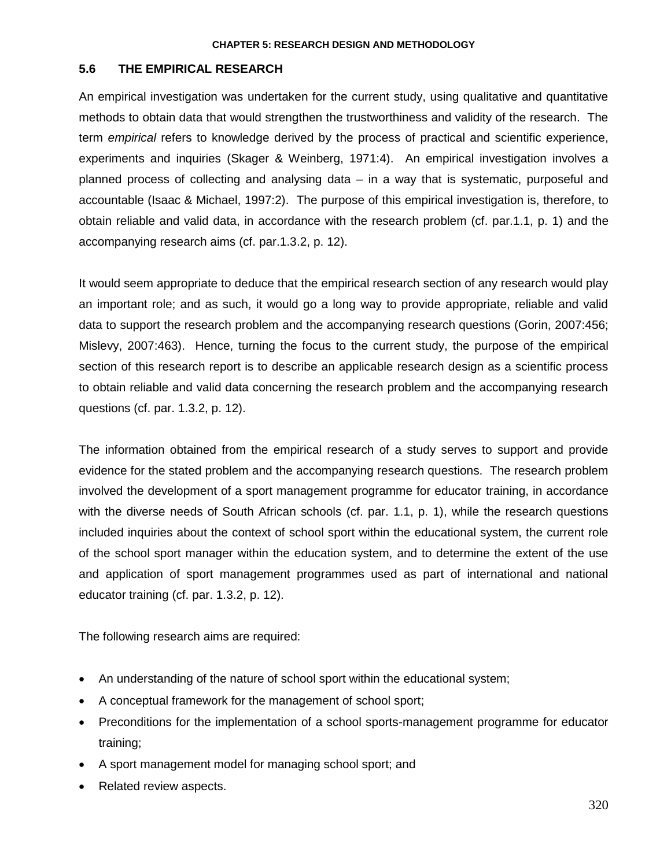# **5.6 THE EMPIRICAL RESEARCH**

An empirical investigation was undertaken for the current study, using qualitative and quantitative methods to obtain data that would strengthen the trustworthiness and validity of the research. The term *empirical* refers to knowledge derived by the process of practical and scientific experience, experiments and inquiries (Skager & Weinberg, 1971:4). An empirical investigation involves a planned process of collecting and analysing data – in a way that is systematic, purposeful and accountable (Isaac & Michael, 1997:2). The purpose of this empirical investigation is, therefore, to obtain reliable and valid data, in accordance with the research problem (cf. par.1.1, p. 1) and the accompanying research aims (cf. par.1.3.2, p. 12).

It would seem appropriate to deduce that the empirical research section of any research would play an important role; and as such, it would go a long way to provide appropriate, reliable and valid data to support the research problem and the accompanying research questions (Gorin, 2007:456; Mislevy, 2007:463). Hence, turning the focus to the current study, the purpose of the empirical section of this research report is to describe an applicable research design as a scientific process to obtain reliable and valid data concerning the research problem and the accompanying research questions (cf. par. 1.3.2, p. 12).

The information obtained from the empirical research of a study serves to support and provide evidence for the stated problem and the accompanying research questions. The research problem involved the development of a sport management programme for educator training, in accordance with the diverse needs of South African schools (cf. par. 1.1, p. 1), while the research questions included inquiries about the context of school sport within the educational system, the current role of the school sport manager within the education system, and to determine the extent of the use and application of sport management programmes used as part of international and national educator training (cf. par. 1.3.2, p. 12).

The following research aims are required:

- An understanding of the nature of school sport within the educational system;
- A conceptual framework for the management of school sport;
- Preconditions for the implementation of a school sports-management programme for educator training;
- A sport management model for managing school sport; and
- Related review aspects.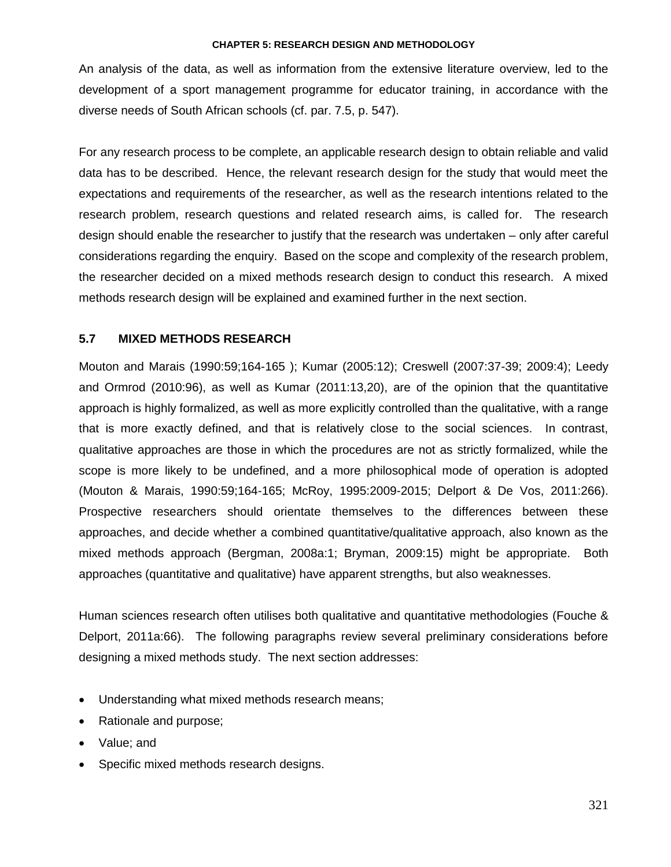An analysis of the data, as well as information from the extensive literature overview, led to the development of a sport management programme for educator training, in accordance with the diverse needs of South African schools (cf. par. 7.5, p. 547).

For any research process to be complete, an applicable research design to obtain reliable and valid data has to be described. Hence, the relevant research design for the study that would meet the expectations and requirements of the researcher, as well as the research intentions related to the research problem, research questions and related research aims, is called for. The research design should enable the researcher to justify that the research was undertaken – only after careful considerations regarding the enquiry. Based on the scope and complexity of the research problem, the researcher decided on a mixed methods research design to conduct this research. A mixed methods research design will be explained and examined further in the next section.

# **5.7 MIXED METHODS RESEARCH**

Mouton and Marais (1990:59;164-165 ); Kumar (2005:12); Creswell (2007:37-39; 2009:4); Leedy and Ormrod (2010:96), as well as Kumar (2011:13,20), are of the opinion that the quantitative approach is highly formalized, as well as more explicitly controlled than the qualitative, with a range that is more exactly defined, and that is relatively close to the social sciences. In contrast, qualitative approaches are those in which the procedures are not as strictly formalized, while the scope is more likely to be undefined, and a more philosophical mode of operation is adopted (Mouton & Marais, 1990:59;164-165; McRoy, 1995:2009-2015; Delport & De Vos, 2011:266). Prospective researchers should orientate themselves to the differences between these approaches, and decide whether a combined quantitative/qualitative approach, also known as the mixed methods approach (Bergman, 2008a:1; Bryman, 2009:15) might be appropriate. Both approaches (quantitative and qualitative) have apparent strengths, but also weaknesses.

Human sciences research often utilises both qualitative and quantitative methodologies (Fouche & Delport, 2011a:66). The following paragraphs review several preliminary considerations before designing a mixed methods study. The next section addresses:

- Understanding what mixed methods research means:
- Rationale and purpose;
- Value; and
- Specific mixed methods research designs.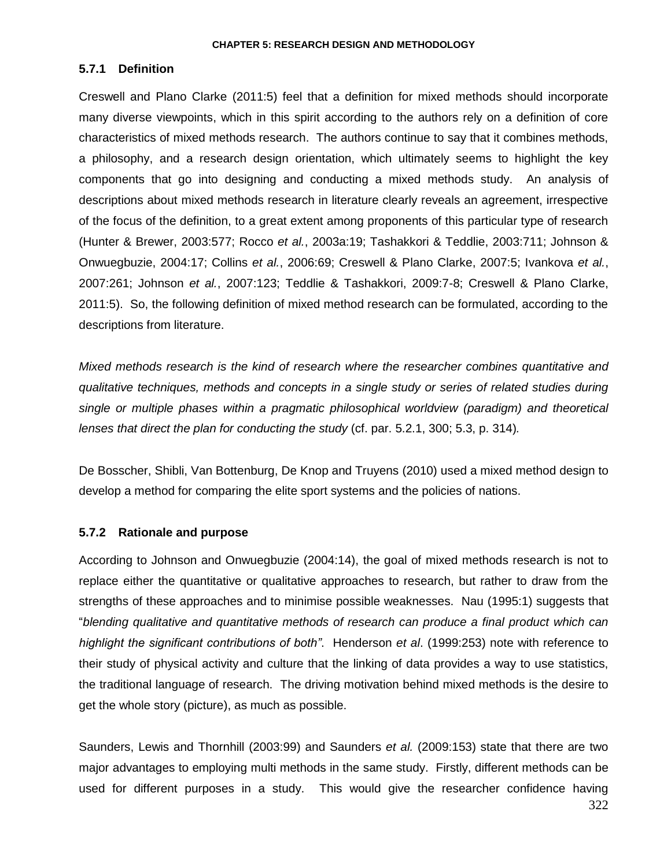# **5.7.1 Definition**

Creswell and Plano Clarke (2011:5) feel that a definition for mixed methods should incorporate many diverse viewpoints, which in this spirit according to the authors rely on a definition of core characteristics of mixed methods research. The authors continue to say that it combines methods, a philosophy, and a research design orientation, which ultimately seems to highlight the key components that go into designing and conducting a mixed methods study. An analysis of descriptions about mixed methods research in literature clearly reveals an agreement, irrespective of the focus of the definition, to a great extent among proponents of this particular type of research (Hunter & Brewer, 2003:577; Rocco *et al.*, 2003a:19; Tashakkori & Teddlie, 2003:711; Johnson & Onwuegbuzie, 2004:17; Collins *et al.*, 2006:69; Creswell & Plano Clarke, 2007:5; Ivankova *et al.*, 2007:261; Johnson *et al.*, 2007:123; Teddlie & Tashakkori, 2009:7-8; Creswell & Plano Clarke, 2011:5). So, the following definition of mixed method research can be formulated, according to the descriptions from literature.

*Mixed methods research is the kind of research where the researcher combines quantitative and qualitative techniques, methods and concepts in a single study or series of related studies during single or multiple phases within a pragmatic philosophical worldview (paradigm) and theoretical lenses that direct the plan for conducting the study* (cf. par. 5.2.1, 300; 5.3, p. 314)*.*

De Bosscher, Shibli, Van Bottenburg, De Knop and Truyens (2010) used a mixed method design to develop a method for comparing the elite sport systems and the policies of nations.

# **5.7.2 Rationale and purpose**

According to Johnson and Onwuegbuzie (2004:14), the goal of mixed methods research is not to replace either the quantitative or qualitative approaches to research, but rather to draw from the strengths of these approaches and to minimise possible weaknesses. Nau (1995:1) suggests that "*blending qualitative and quantitative methods of research can produce a final product which can highlight the significant contributions of both"*. Henderson *et al*. (1999:253) note with reference to their study of physical activity and culture that the linking of data provides a way to use statistics, the traditional language of research. The driving motivation behind mixed methods is the desire to get the whole story (picture), as much as possible.

Saunders, Lewis and Thornhill (2003:99) and Saunders *et al.* (2009:153) state that there are two major advantages to employing multi methods in the same study. Firstly, different methods can be used for different purposes in a study. This would give the researcher confidence having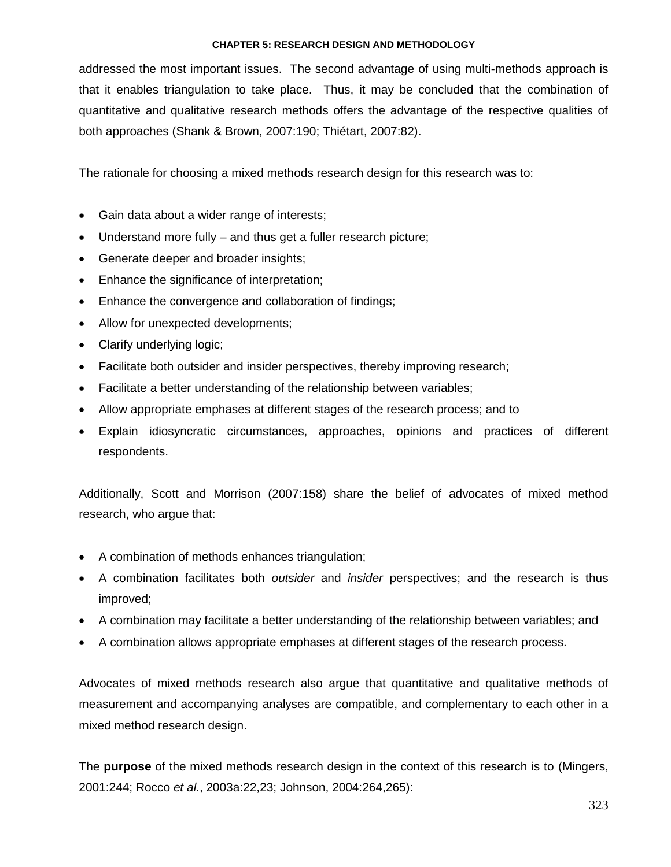addressed the most important issues. The second advantage of using multi-methods approach is that it enables triangulation to take place. Thus, it may be concluded that the combination of quantitative and qualitative research methods offers the advantage of the respective qualities of both approaches (Shank & Brown, 2007:190; Thiétart, 2007:82).

The rationale for choosing a mixed methods research design for this research was to:

- Gain data about a wider range of interests;
- Understand more fully and thus get a fuller research picture;
- Generate deeper and broader insights;
- Enhance the significance of interpretation;
- Enhance the convergence and collaboration of findings;
- Allow for unexpected developments;
- Clarify underlying logic;
- Facilitate both outsider and insider perspectives, thereby improving research;
- Facilitate a better understanding of the relationship between variables;
- Allow appropriate emphases at different stages of the research process; and to
- Explain idiosyncratic circumstances, approaches, opinions and practices of different respondents.

Additionally, Scott and Morrison (2007:158) share the belief of advocates of mixed method research, who argue that:

- A combination of methods enhances triangulation;
- A combination facilitates both *outsider* and *insider* perspectives; and the research is thus improved;
- A combination may facilitate a better understanding of the relationship between variables; and
- A combination allows appropriate emphases at different stages of the research process.

Advocates of mixed methods research also argue that quantitative and qualitative methods of measurement and accompanying analyses are compatible, and complementary to each other in a mixed method research design.

The **purpose** of the mixed methods research design in the context of this research is to (Mingers, 2001:244; Rocco *et al.*, 2003a:22,23; Johnson, 2004:264,265):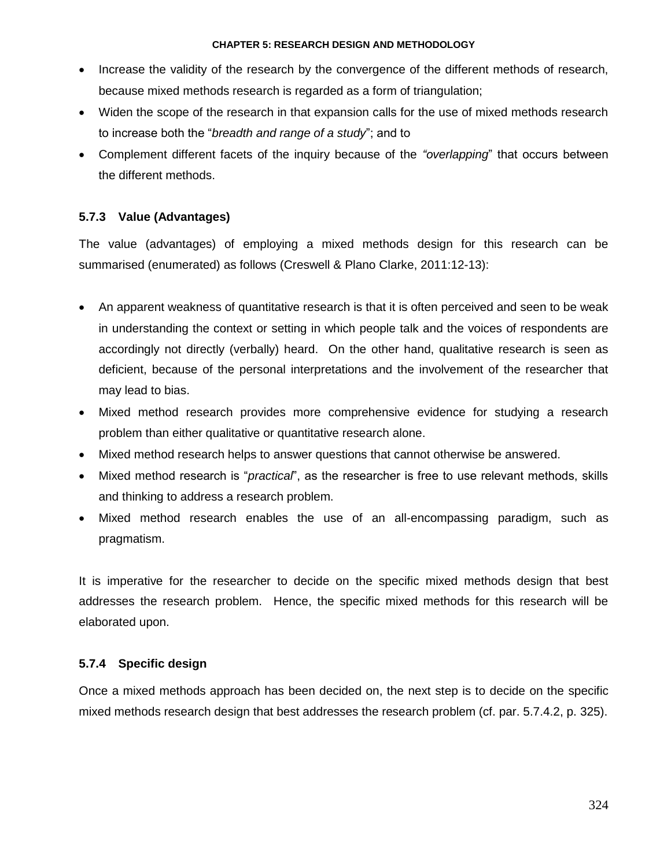- Increase the validity of the research by the convergence of the different methods of research, because mixed methods research is regarded as a form of triangulation;
- Widen the scope of the research in that expansion calls for the use of mixed methods research to increase both the "*breadth and range of a study*"; and to
- Complement different facets of the inquiry because of the *"overlapping*" that occurs between the different methods.

# **5.7.3 Value (Advantages)**

The value (advantages) of employing a mixed methods design for this research can be summarised (enumerated) as follows (Creswell & Plano Clarke, 2011:12-13):

- An apparent weakness of quantitative research is that it is often perceived and seen to be weak in understanding the context or setting in which people talk and the voices of respondents are accordingly not directly (verbally) heard. On the other hand, qualitative research is seen as deficient, because of the personal interpretations and the involvement of the researcher that may lead to bias.
- Mixed method research provides more comprehensive evidence for studying a research problem than either qualitative or quantitative research alone.
- Mixed method research helps to answer questions that cannot otherwise be answered.
- Mixed method research is "*practical*", as the researcher is free to use relevant methods, skills and thinking to address a research problem.
- Mixed method research enables the use of an all-encompassing paradigm, such as pragmatism.

It is imperative for the researcher to decide on the specific mixed methods design that best addresses the research problem. Hence, the specific mixed methods for this research will be elaborated upon.

# **5.7.4 Specific design**

Once a mixed methods approach has been decided on, the next step is to decide on the specific mixed methods research design that best addresses the research problem (cf. par. 5.7.4.2, p. 325).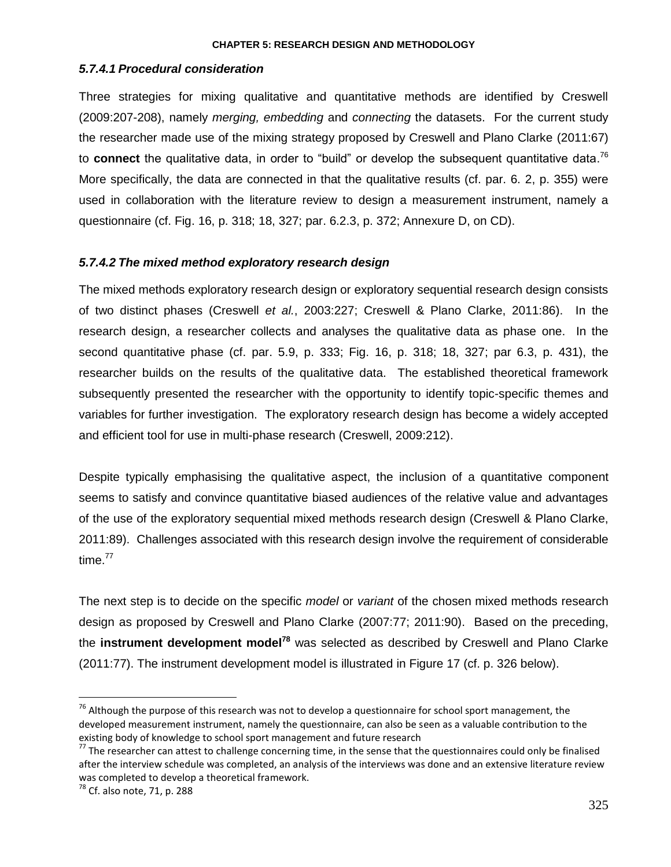## *5.7.4.1 Procedural consideration*

Three strategies for mixing qualitative and quantitative methods are identified by Creswell (2009:207-208), namely *merging, embedding* and *connecting* the datasets. For the current study the researcher made use of the mixing strategy proposed by Creswell and Plano Clarke (2011:67) to **connect** the qualitative data, in order to "build" or develop the subsequent quantitative data. 76 More specifically, the data are connected in that the qualitative results (cf. par. 6. 2, p. 355) were used in collaboration with the literature review to design a measurement instrument, namely a questionnaire (cf. Fig. 16, p. 318; 18, 327; par. 6.2.3, p. 372; Annexure D, on CD).

# *5.7.4.2 The mixed method exploratory research design*

The mixed methods exploratory research design or exploratory sequential research design consists of two distinct phases (Creswell *et al.*, 2003:227; Creswell & Plano Clarke, 2011:86). In the research design, a researcher collects and analyses the qualitative data as phase one. In the second quantitative phase (cf. par. 5.9, p. 333; Fig. 16, p. 318; 18, 327; par 6.3, p. 431), the researcher builds on the results of the qualitative data. The established theoretical framework subsequently presented the researcher with the opportunity to identify topic-specific themes and variables for further investigation. The exploratory research design has become a widely accepted and efficient tool for use in multi-phase research (Creswell, 2009:212).

Despite typically emphasising the qualitative aspect, the inclusion of a quantitative component seems to satisfy and convince quantitative biased audiences of the relative value and advantages of the use of the exploratory sequential mixed methods research design (Creswell & Plano Clarke, 2011:89). Challenges associated with this research design involve the requirement of considerable time. 77

The next step is to decide on the specific *model* or *variant* of the chosen mixed methods research design as proposed by Creswell and Plano Clarke (2007:77; 2011:90). Based on the preceding, the **instrument development model<sup>78</sup>** was selected as described by Creswell and Plano Clarke (2011:77). The instrument development model is illustrated in Figure 17 (cf. p. 326 below).

 $\overline{a}$ 

 $76$  Although the purpose of this research was not to develop a questionnaire for school sport management, the developed measurement instrument, namely the questionnaire, can also be seen as a valuable contribution to the existing body of knowledge to school sport management and future research

 $77$  The researcher can attest to challenge concerning time, in the sense that the questionnaires could only be finalised after the interview schedule was completed, an analysis of the interviews was done and an extensive literature review was completed to develop a theoretical framework.

<sup>78</sup> Cf. also note, 71, p. 288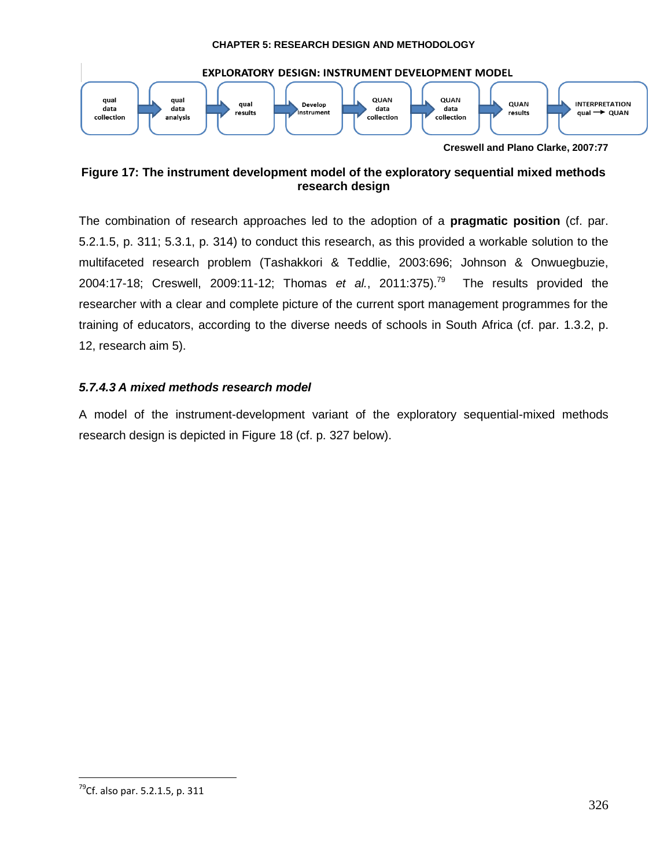

**Figure 17: The instrument development model of the exploratory sequential mixed methods research design**

The combination of research approaches led to the adoption of a **pragmatic position** (cf. par. 5.2.1.5, p. 311; 5.3.1, p. 314) to conduct this research, as this provided a workable solution to the multifaceted research problem (Tashakkori & Teddlie, 2003:696; Johnson & Onwuegbuzie, 2004:17-18; Creswell, 2009:11-12; Thomas *et al.*, 2011:375). 79 The results provided the researcher with a clear and complete picture of the current sport management programmes for the training of educators, according to the diverse needs of schools in South Africa (cf. par. 1.3.2, p. 12, research aim 5).

# *5.7.4.3 A mixed methods research model*

A model of the instrument-development variant of the exploratory sequential-mixed methods research design is depicted in Figure 18 (cf. p. 327 below).

 $\overline{a}$ 

<sup>&</sup>lt;sup>79</sup>Cf. also par. 5.2.1.5, p. 311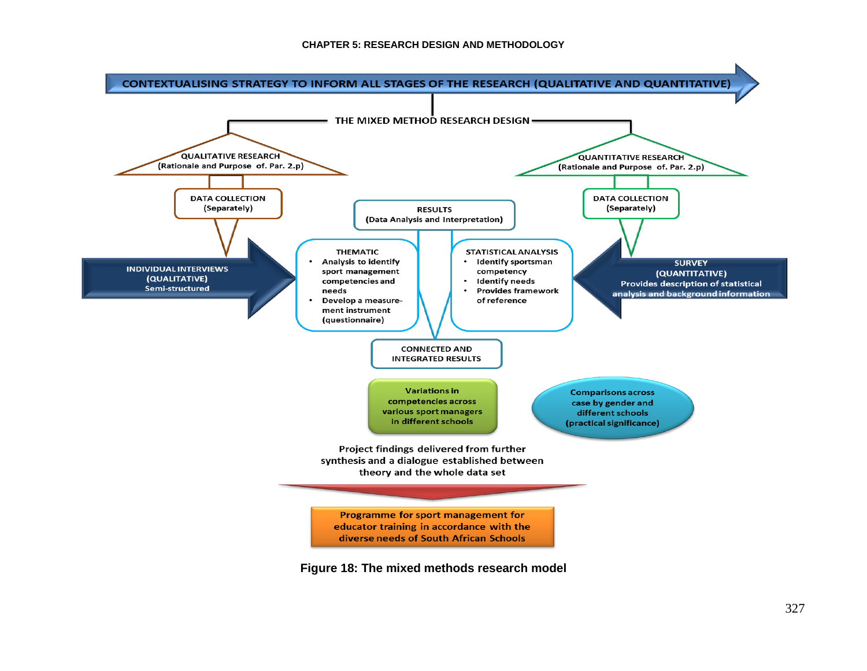

**Figure 18: The mixed methods research model**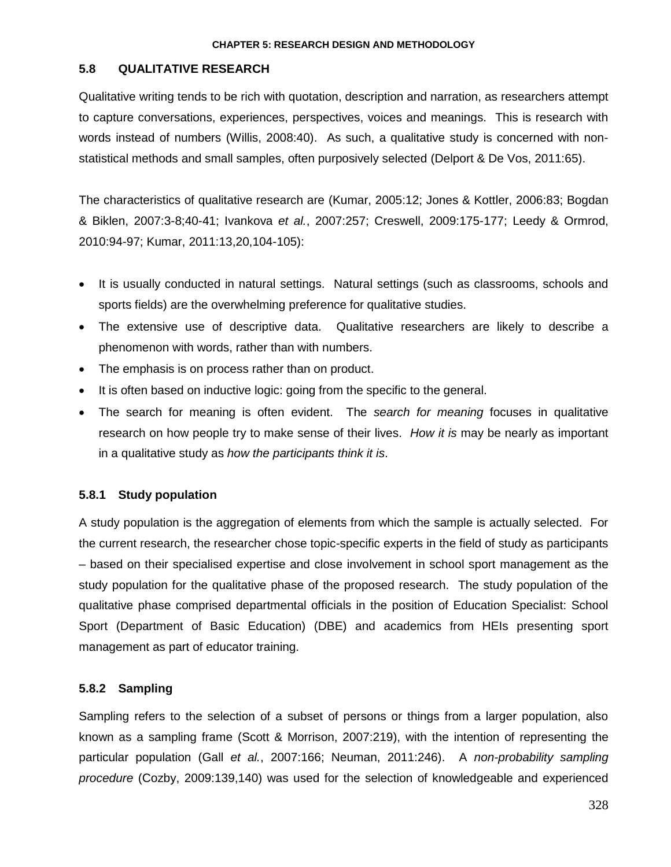# **5.8 QUALITATIVE RESEARCH**

Qualitative writing tends to be rich with quotation, description and narration, as researchers attempt to capture conversations, experiences, perspectives, voices and meanings. This is research with words instead of numbers (Willis, 2008:40). As such, a qualitative study is concerned with nonstatistical methods and small samples, often purposively selected (Delport & De Vos, 2011:65).

The characteristics of qualitative research are (Kumar, 2005:12; Jones & Kottler, 2006:83; Bogdan & Biklen, 2007:3-8;40-41; Ivankova *et al.*, 2007:257; Creswell, 2009:175-177; Leedy & Ormrod, 2010:94-97; Kumar, 2011:13,20,104-105):

- It is usually conducted in natural settings. Natural settings (such as classrooms, schools and sports fields) are the overwhelming preference for qualitative studies.
- The extensive use of descriptive data. Qualitative researchers are likely to describe a phenomenon with words, rather than with numbers.
- The emphasis is on process rather than on product.
- It is often based on inductive logic: going from the specific to the general.
- The search for meaning is often evident. The *search for meaning* focuses in qualitative research on how people try to make sense of their lives. *How it is* may be nearly as important in a qualitative study as *how the participants think it is*.

# **5.8.1 Study population**

A study population is the aggregation of elements from which the sample is actually selected. For the current research, the researcher chose topic-specific experts in the field of study as participants – based on their specialised expertise and close involvement in school sport management as the study population for the qualitative phase of the proposed research. The study population of the qualitative phase comprised departmental officials in the position of Education Specialist: School Sport (Department of Basic Education) (DBE) and academics from HEIs presenting sport management as part of educator training.

# **5.8.2 Sampling**

Sampling refers to the selection of a subset of persons or things from a larger population, also known as a sampling frame (Scott & Morrison, 2007:219), with the intention of representing the particular population (Gall *et al.*, 2007:166; Neuman, 2011:246). A *non-probability sampling procedure* (Cozby, 2009:139,140) was used for the selection of knowledgeable and experienced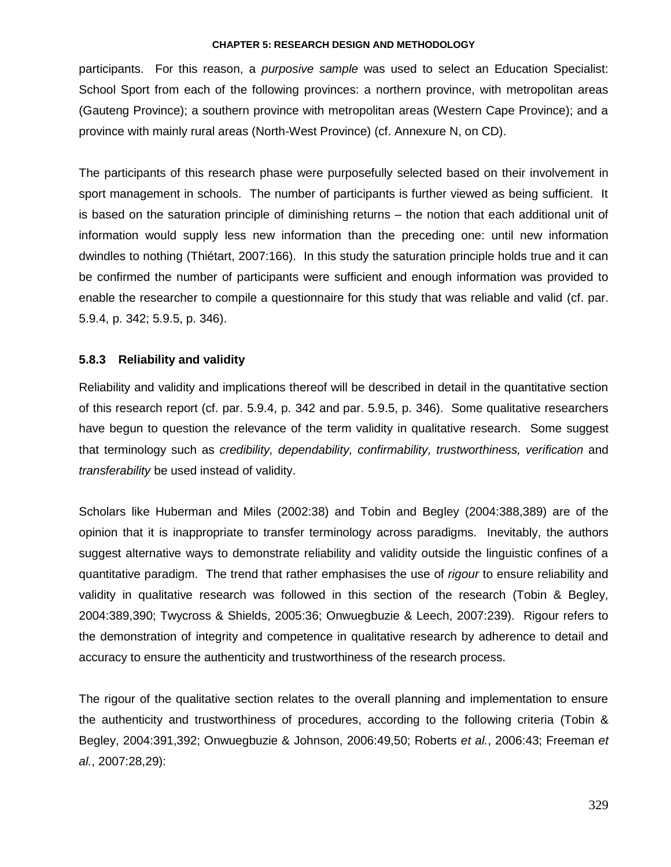participants. For this reason, a *purposive sample* was used to select an Education Specialist: School Sport from each of the following provinces: a northern province, with metropolitan areas (Gauteng Province); a southern province with metropolitan areas (Western Cape Province); and a province with mainly rural areas (North-West Province) (cf. Annexure N, on CD).

The participants of this research phase were purposefully selected based on their involvement in sport management in schools. The number of participants is further viewed as being sufficient. It is based on the saturation principle of diminishing returns – the notion that each additional unit of information would supply less new information than the preceding one: until new information dwindles to nothing (Thiétart, 2007:166). In this study the saturation principle holds true and it can be confirmed the number of participants were sufficient and enough information was provided to enable the researcher to compile a questionnaire for this study that was reliable and valid (cf. par. 5.9.4, p. 342; 5.9.5, p. 346).

# **5.8.3 Reliability and validity**

Reliability and validity and implications thereof will be described in detail in the quantitative section of this research report (cf. par. 5.9.4, p. 342 and par. 5.9.5, p. 346). Some qualitative researchers have begun to question the relevance of the term validity in qualitative research. Some suggest that terminology such as *credibility, dependability, confirmability, trustworthiness, verification* and *transferability* be used instead of validity.

Scholars like Huberman and Miles (2002:38) and Tobin and Begley (2004:388,389) are of the opinion that it is inappropriate to transfer terminology across paradigms. Inevitably, the authors suggest alternative ways to demonstrate reliability and validity outside the linguistic confines of a quantitative paradigm. The trend that rather emphasises the use of *rigour* to ensure reliability and validity in qualitative research was followed in this section of the research (Tobin & Begley, 2004:389,390; Twycross & Shields, 2005:36; Onwuegbuzie & Leech, 2007:239). Rigour refers to the demonstration of integrity and competence in qualitative research by adherence to detail and accuracy to ensure the authenticity and trustworthiness of the research process.

The rigour of the qualitative section relates to the overall planning and implementation to ensure the authenticity and trustworthiness of procedures, according to the following criteria (Tobin & Begley, 2004:391,392; Onwuegbuzie & Johnson, 2006:49,50; Roberts *et al.*, 2006:43; Freeman *et al.*, 2007:28,29):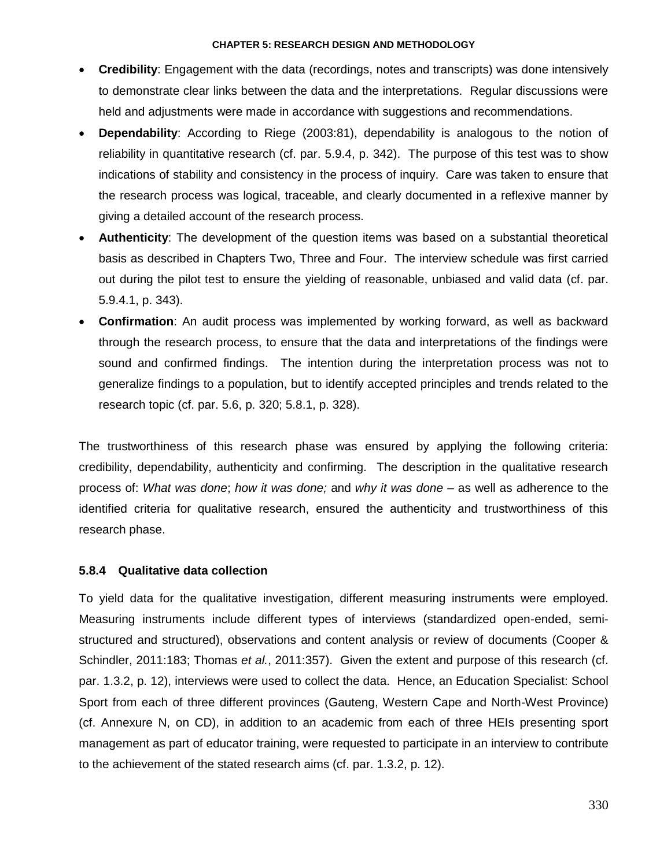- **Credibility**: Engagement with the data (recordings, notes and transcripts) was done intensively to demonstrate clear links between the data and the interpretations. Regular discussions were held and adjustments were made in accordance with suggestions and recommendations.
- **Dependability**: According to Riege (2003:81), dependability is analogous to the notion of reliability in quantitative research (cf. par. 5.9.4, p. 342). The purpose of this test was to show indications of stability and consistency in the process of inquiry. Care was taken to ensure that the research process was logical, traceable, and clearly documented in a reflexive manner by giving a detailed account of the research process.
- **Authenticity**: The development of the question items was based on a substantial theoretical basis as described in Chapters Two, Three and Four. The interview schedule was first carried out during the pilot test to ensure the yielding of reasonable, unbiased and valid data (cf. par. 5.9.4.1, p. 343).
- **Confirmation**: An audit process was implemented by working forward, as well as backward through the research process, to ensure that the data and interpretations of the findings were sound and confirmed findings. The intention during the interpretation process was not to generalize findings to a population, but to identify accepted principles and trends related to the research topic (cf. par. 5.6, p. 320; 5.8.1, p. 328).

The trustworthiness of this research phase was ensured by applying the following criteria: credibility, dependability, authenticity and confirming. The description in the qualitative research process of: *What was done*; *how it was done;* and *why it was done –* as well as adherence to the identified criteria for qualitative research, ensured the authenticity and trustworthiness of this research phase.

# **5.8.4 Qualitative data collection**

To yield data for the qualitative investigation, different measuring instruments were employed. Measuring instruments include different types of interviews (standardized open-ended, semistructured and structured), observations and content analysis or review of documents (Cooper & Schindler, 2011:183; Thomas *et al.*, 2011:357). Given the extent and purpose of this research (cf. par. 1.3.2, p. 12), interviews were used to collect the data. Hence, an Education Specialist: School Sport from each of three different provinces (Gauteng, Western Cape and North-West Province) (cf. Annexure N, on CD), in addition to an academic from each of three HEIs presenting sport management as part of educator training, were requested to participate in an interview to contribute to the achievement of the stated research aims (cf. par. 1.3.2, p. 12).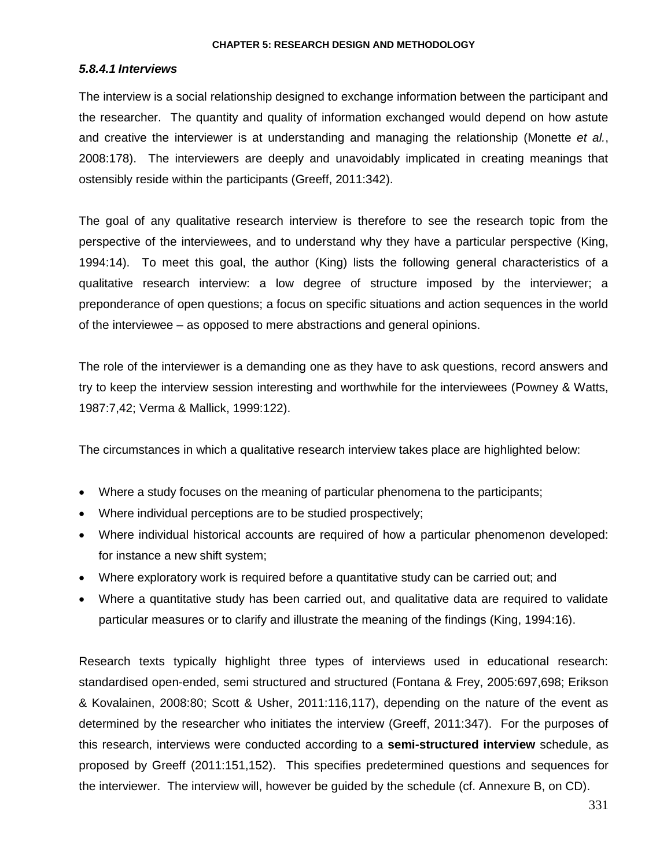## *5.8.4.1 Interviews*

The interview is a social relationship designed to exchange information between the participant and the researcher. The quantity and quality of information exchanged would depend on how astute and creative the interviewer is at understanding and managing the relationship (Monette *et al.*, 2008:178). The interviewers are deeply and unavoidably implicated in creating meanings that ostensibly reside within the participants (Greeff, 2011:342).

The goal of any qualitative research interview is therefore to see the research topic from the perspective of the interviewees, and to understand why they have a particular perspective (King, 1994:14). To meet this goal, the author (King) lists the following general characteristics of a qualitative research interview: a low degree of structure imposed by the interviewer; a preponderance of open questions; a focus on specific situations and action sequences in the world of the interviewee – as opposed to mere abstractions and general opinions.

The role of the interviewer is a demanding one as they have to ask questions, record answers and try to keep the interview session interesting and worthwhile for the interviewees (Powney & Watts, 1987:7,42; Verma & Mallick, 1999:122).

The circumstances in which a qualitative research interview takes place are highlighted below:

- Where a study focuses on the meaning of particular phenomena to the participants;
- Where individual perceptions are to be studied prospectively;
- Where individual historical accounts are required of how a particular phenomenon developed: for instance a new shift system;
- Where exploratory work is required before a quantitative study can be carried out; and
- Where a quantitative study has been carried out, and qualitative data are required to validate particular measures or to clarify and illustrate the meaning of the findings (King, 1994:16).

Research texts typically highlight three types of interviews used in educational research: standardised open-ended, semi structured and structured (Fontana & Frey, 2005:697,698; Erikson & Kovalainen, 2008:80; Scott & Usher, 2011:116,117), depending on the nature of the event as determined by the researcher who initiates the interview (Greeff, 2011:347). For the purposes of this research, interviews were conducted according to a **semi-structured interview** schedule, as proposed by Greeff (2011:151,152). This specifies predetermined questions and sequences for the interviewer. The interview will, however be guided by the schedule (cf. Annexure B, on CD).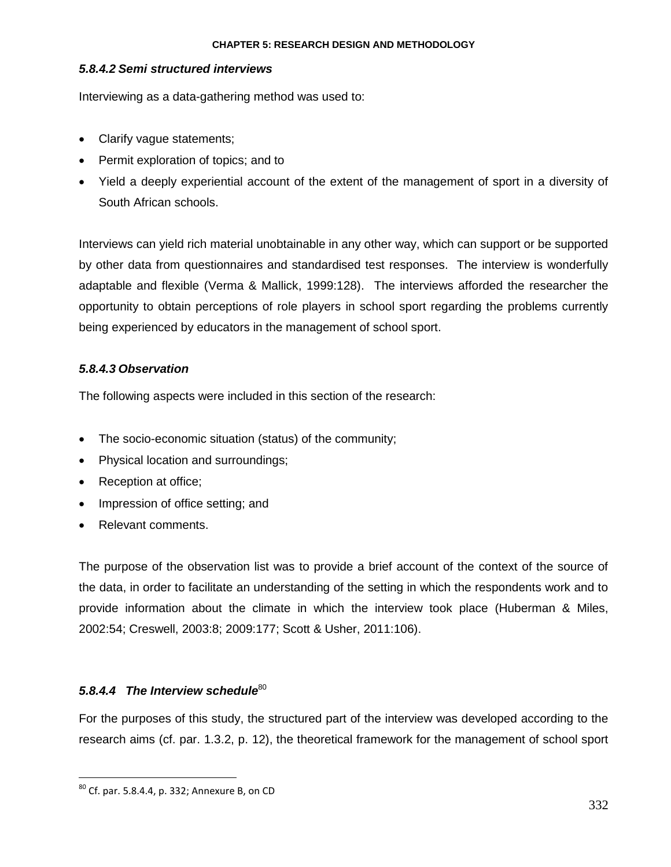# *5.8.4.2 Semi structured interviews*

Interviewing as a data-gathering method was used to:

- Clarify vague statements;
- Permit exploration of topics; and to
- Yield a deeply experiential account of the extent of the management of sport in a diversity of South African schools.

Interviews can yield rich material unobtainable in any other way, which can support or be supported by other data from questionnaires and standardised test responses. The interview is wonderfully adaptable and flexible (Verma & Mallick, 1999:128). The interviews afforded the researcher the opportunity to obtain perceptions of role players in school sport regarding the problems currently being experienced by educators in the management of school sport.

# *5.8.4.3 Observation*

The following aspects were included in this section of the research:

- The socio-economic situation (status) of the community;
- Physical location and surroundings;
- Reception at office;
- Impression of office setting; and
- Relevant comments.

The purpose of the observation list was to provide a brief account of the context of the source of the data, in order to facilitate an understanding of the setting in which the respondents work and to provide information about the climate in which the interview took place (Huberman & Miles, 2002:54; Creswell, 2003:8; 2009:177; Scott & Usher, 2011:106).

# 5.8.4.4 The Interview schedule<sup>80</sup>

For the purposes of this study, the structured part of the interview was developed according to the research aims (cf. par. 1.3.2, p. 12), the theoretical framework for the management of school sport

 $\overline{a}$ 

 $^{80}$  Cf. par. 5.8.4.4, p. 332; Annexure B, on CD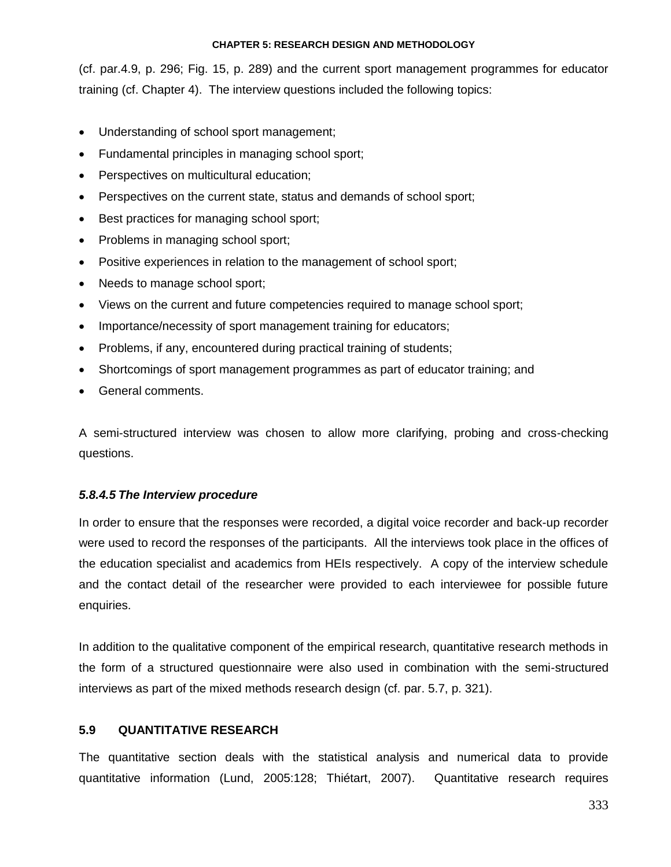(cf. par.4.9, p. 296; Fig. 15, p. 289) and the current sport management programmes for educator training (cf. Chapter 4). The interview questions included the following topics:

- Understanding of school sport management;
- Fundamental principles in managing school sport;
- Perspectives on multicultural education;
- Perspectives on the current state, status and demands of school sport;
- Best practices for managing school sport;
- Problems in managing school sport;
- Positive experiences in relation to the management of school sport;
- Needs to manage school sport;
- Views on the current and future competencies required to manage school sport;
- Importance/necessity of sport management training for educators;
- Problems, if any, encountered during practical training of students;
- Shortcomings of sport management programmes as part of educator training; and
- General comments.

A semi-structured interview was chosen to allow more clarifying, probing and cross-checking questions.

# *5.8.4.5 The Interview procedure*

In order to ensure that the responses were recorded, a digital voice recorder and back-up recorder were used to record the responses of the participants. All the interviews took place in the offices of the education specialist and academics from HEIs respectively. A copy of the interview schedule and the contact detail of the researcher were provided to each interviewee for possible future enquiries.

In addition to the qualitative component of the empirical research, quantitative research methods in the form of a structured questionnaire were also used in combination with the semi-structured interviews as part of the mixed methods research design (cf. par. 5.7, p. 321).

# **5.9 QUANTITATIVE RESEARCH**

The quantitative section deals with the statistical analysis and numerical data to provide quantitative information (Lund, 2005:128; Thiétart, 2007). Quantitative research requires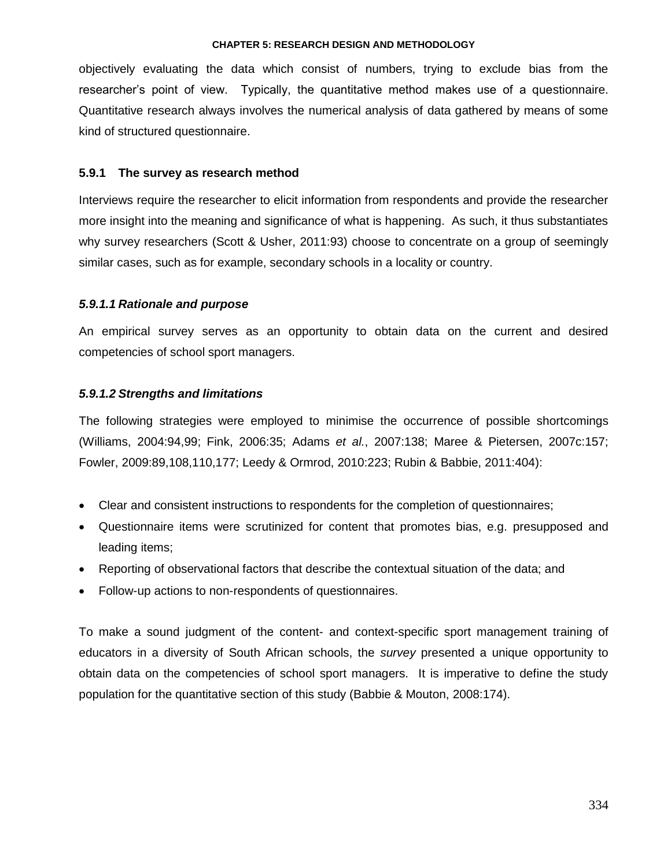objectively evaluating the data which consist of numbers, trying to exclude bias from the researcher"s point of view. Typically, the quantitative method makes use of a questionnaire. Quantitative research always involves the numerical analysis of data gathered by means of some kind of structured questionnaire.

# **5.9.1 The survey as research method**

Interviews require the researcher to elicit information from respondents and provide the researcher more insight into the meaning and significance of what is happening. As such, it thus substantiates why survey researchers (Scott & Usher, 2011:93) choose to concentrate on a group of seemingly similar cases, such as for example, secondary schools in a locality or country.

# *5.9.1.1 Rationale and purpose*

An empirical survey serves as an opportunity to obtain data on the current and desired competencies of school sport managers.

# *5.9.1.2 Strengths and limitations*

The following strategies were employed to minimise the occurrence of possible shortcomings (Williams, 2004:94,99; Fink, 2006:35; Adams *et al.*, 2007:138; Maree & Pietersen, 2007c:157; Fowler, 2009:89,108,110,177; Leedy & Ormrod, 2010:223; Rubin & Babbie, 2011:404):

- Clear and consistent instructions to respondents for the completion of questionnaires;
- Questionnaire items were scrutinized for content that promotes bias, e.g. presupposed and leading items;
- Reporting of observational factors that describe the contextual situation of the data; and
- Follow-up actions to non-respondents of questionnaires.

To make a sound judgment of the content- and context-specific sport management training of educators in a diversity of South African schools, the *survey* presented a unique opportunity to obtain data on the competencies of school sport managers. It is imperative to define the study population for the quantitative section of this study (Babbie & Mouton, 2008:174).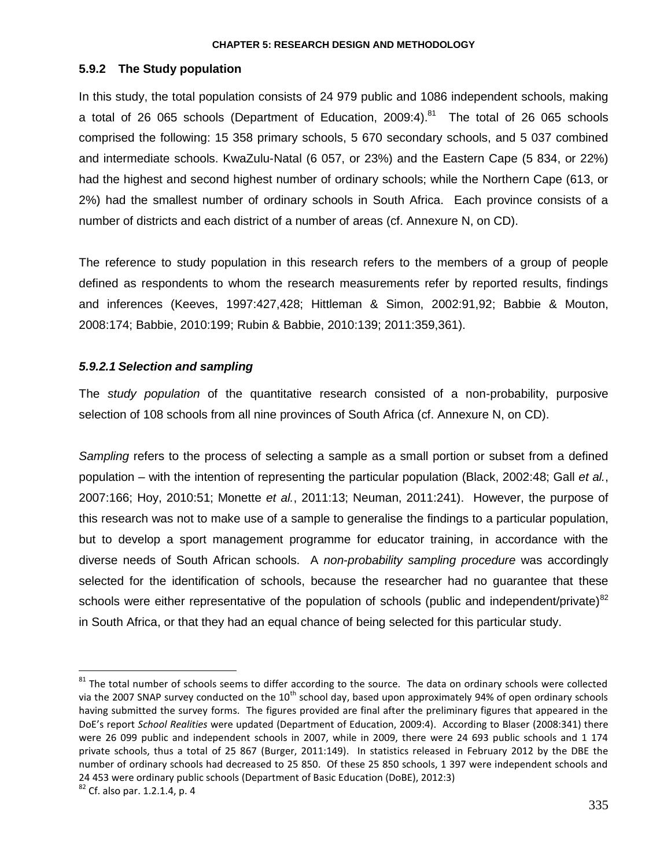# **5.9.2 The Study population**

In this study, the total population consists of 24 979 public and 1086 independent schools, making a total of 26 065 schools (Department of Education, 2009:4).<sup>81</sup> The total of 26 065 schools comprised the following: 15 358 primary schools, 5 670 secondary schools, and 5 037 combined and intermediate schools. KwaZulu-Natal (6 057, or 23%) and the Eastern Cape (5 834, or 22%) had the highest and second highest number of ordinary schools; while the Northern Cape (613, or 2%) had the smallest number of ordinary schools in South Africa. Each province consists of a number of districts and each district of a number of areas (cf. Annexure N, on CD).

The reference to study population in this research refers to the members of a group of people defined as respondents to whom the research measurements refer by reported results, findings and inferences (Keeves, 1997:427,428; Hittleman & Simon, 2002:91,92; Babbie & Mouton, 2008:174; Babbie, 2010:199; Rubin & Babbie, 2010:139; 2011:359,361).

# *5.9.2.1 Selection and sampling*

The *study population* of the quantitative research consisted of a non-probability, purposive selection of 108 schools from all nine provinces of South Africa (cf. Annexure N, on CD).

*Sampling* refers to the process of selecting a sample as a small portion or subset from a defined population – with the intention of representing the particular population (Black, 2002:48; Gall *et al.*, 2007:166; Hoy, 2010:51; Monette *et al.*, 2011:13; Neuman, 2011:241). However, the purpose of this research was not to make use of a sample to generalise the findings to a particular population, but to develop a sport management programme for educator training, in accordance with the diverse needs of South African schools. A *non*-*probability sampling procedure* was accordingly selected for the identification of schools, because the researcher had no guarantee that these schools were either representative of the population of schools (public and independent/private) $82$ in South Africa, or that they had an equal chance of being selected for this particular study.

 $\overline{a}$ 

 $81$  The total number of schools seems to differ according to the source. The data on ordinary schools were collected via the 2007 SNAP survey conducted on the  $10^{th}$  school day, based upon approximately 94% of open ordinary schools having submitted the survey forms. The figures provided are final after the preliminary figures that appeared in the DoE's report *School Realities* were updated (Department of Education, 2009:4). According to Blaser (2008:341) there were 26 099 public and independent schools in 2007, while in 2009, there were 24 693 public schools and 1 174 private schools, thus a total of 25 867 (Burger, 2011:149). In statistics released in February 2012 by the DBE the number of ordinary schools had decreased to 25 850. Of these 25 850 schools, 1 397 were independent schools and 24 453 were ordinary public schools (Department of Basic Education (DoBE), 2012:3)

<sup>82</sup> Cf. also par. 1.2.1.4, p. 4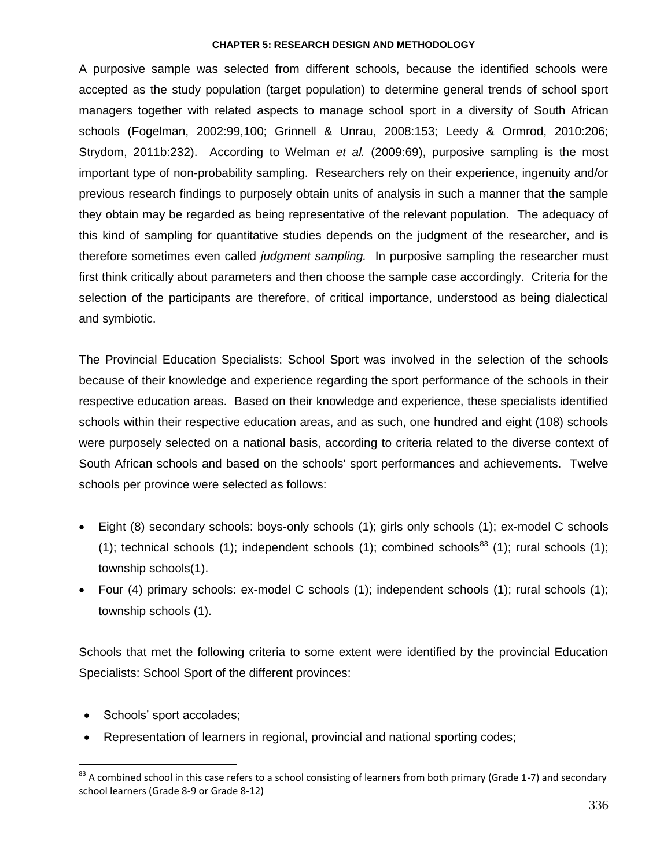A purposive sample was selected from different schools, because the identified schools were accepted as the study population (target population) to determine general trends of school sport managers together with related aspects to manage school sport in a diversity of South African schools (Fogelman, 2002:99,100; Grinnell & Unrau, 2008:153; Leedy & Ormrod, 2010:206; Strydom, 2011b:232). According to Welman *et al.* (2009:69), purposive sampling is the most important type of non-probability sampling. Researchers rely on their experience, ingenuity and/or previous research findings to purposely obtain units of analysis in such a manner that the sample they obtain may be regarded as being representative of the relevant population. The adequacy of this kind of sampling for quantitative studies depends on the judgment of the researcher, and is therefore sometimes even called *judgment sampling.* In purposive sampling the researcher must first think critically about parameters and then choose the sample case accordingly. Criteria for the selection of the participants are therefore, of critical importance, understood as being dialectical and symbiotic.

The Provincial Education Specialists: School Sport was involved in the selection of the schools because of their knowledge and experience regarding the sport performance of the schools in their respective education areas. Based on their knowledge and experience, these specialists identified schools within their respective education areas, and as such, one hundred and eight (108) schools were purposely selected on a national basis, according to criteria related to the diverse context of South African schools and based on the schools' sport performances and achievements. Twelve schools per province were selected as follows:

- Eight (8) secondary schools: boys-only schools (1); girls only schools (1); ex-model C schools (1); technical schools (1); independent schools (1); combined schools<sup>83</sup> (1); rural schools (1); township schools(1).
- Four (4) primary schools: ex-model C schools (1); independent schools (1); rural schools (1); township schools (1).

Schools that met the following criteria to some extent were identified by the provincial Education Specialists: School Sport of the different provinces:

• Schools' sport accolades;

 $\overline{a}$ 

Representation of learners in regional, provincial and national sporting codes;

 $83$  A combined school in this case refers to a school consisting of learners from both primary (Grade 1-7) and secondary school learners (Grade 8-9 or Grade 8-12)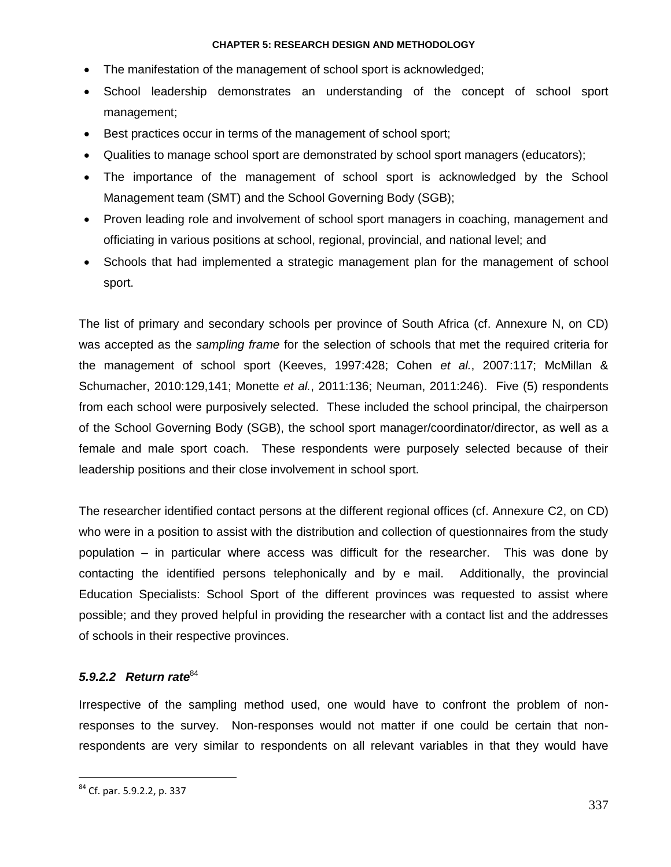- The manifestation of the management of school sport is acknowledged;
- School leadership demonstrates an understanding of the concept of school sport management;
- **Best practices occur in terms of the management of school sport;**
- Qualities to manage school sport are demonstrated by school sport managers (educators);
- The importance of the management of school sport is acknowledged by the School Management team (SMT) and the School Governing Body (SGB);
- Proven leading role and involvement of school sport managers in coaching, management and officiating in various positions at school, regional, provincial, and national level; and
- Schools that had implemented a strategic management plan for the management of school sport.

The list of primary and secondary schools per province of South Africa (cf. Annexure N, on CD) was accepted as the *sampling frame* for the selection of schools that met the required criteria for the management of school sport (Keeves, 1997:428; Cohen *et al.*, 2007:117; McMillan & Schumacher, 2010:129,141; Monette *et al.*, 2011:136; Neuman, 2011:246). Five (5) respondents from each school were purposively selected. These included the school principal, the chairperson of the School Governing Body (SGB), the school sport manager/coordinator/director, as well as a female and male sport coach. These respondents were purposely selected because of their leadership positions and their close involvement in school sport.

The researcher identified contact persons at the different regional offices (cf. Annexure C2, on CD) who were in a position to assist with the distribution and collection of questionnaires from the study population – in particular where access was difficult for the researcher. This was done by contacting the identified persons telephonically and by e mail. Additionally, the provincial Education Specialists: School Sport of the different provinces was requested to assist where possible; and they proved helpful in providing the researcher with a contact list and the addresses of schools in their respective provinces.

# *5.9.2.2 Return rate*<sup>84</sup>

Irrespective of the sampling method used, one would have to confront the problem of nonresponses to the survey. Non-responses would not matter if one could be certain that nonrespondents are very similar to respondents on all relevant variables in that they would have

 $\overline{a}$ 

<sup>&</sup>lt;sup>84</sup> Cf. par. 5.9.2.2, p. 337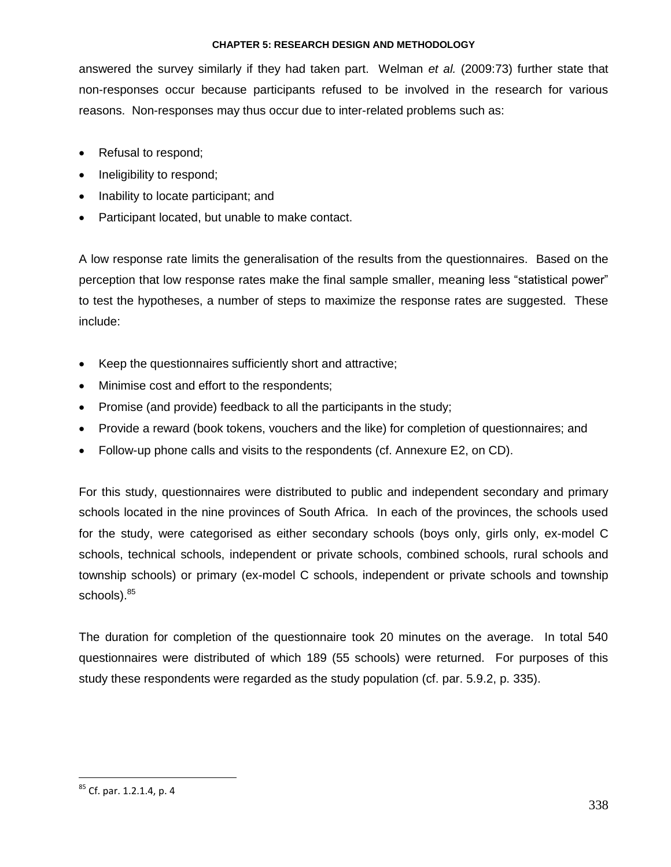answered the survey similarly if they had taken part. Welman *et al.* (2009:73) further state that non-responses occur because participants refused to be involved in the research for various reasons. Non-responses may thus occur due to inter-related problems such as:

- Refusal to respond;
- Ineligibility to respond;
- Inability to locate participant; and
- Participant located, but unable to make contact.

A low response rate limits the generalisation of the results from the questionnaires. Based on the perception that low response rates make the final sample smaller, meaning less "statistical power" to test the hypotheses, a number of steps to maximize the response rates are suggested. These include:

- Keep the questionnaires sufficiently short and attractive;
- Minimise cost and effort to the respondents;
- Promise (and provide) feedback to all the participants in the study;
- Provide a reward (book tokens, vouchers and the like) for completion of questionnaires; and
- Follow-up phone calls and visits to the respondents (cf. Annexure E2, on CD).

For this study, questionnaires were distributed to public and independent secondary and primary schools located in the nine provinces of South Africa. In each of the provinces, the schools used for the study, were categorised as either secondary schools (boys only, girls only, ex-model C schools, technical schools, independent or private schools, combined schools, rural schools and township schools) or primary (ex-model C schools, independent or private schools and township schools).<sup>85</sup>

The duration for completion of the questionnaire took 20 minutes on the average. In total 540 questionnaires were distributed of which 189 (55 schools) were returned. For purposes of this study these respondents were regarded as the study population (cf. par. 5.9.2, p. 335).

 $\overline{a}$ 

<sup>&</sup>lt;sup>85</sup> Cf. par. 1.2.1.4, p. 4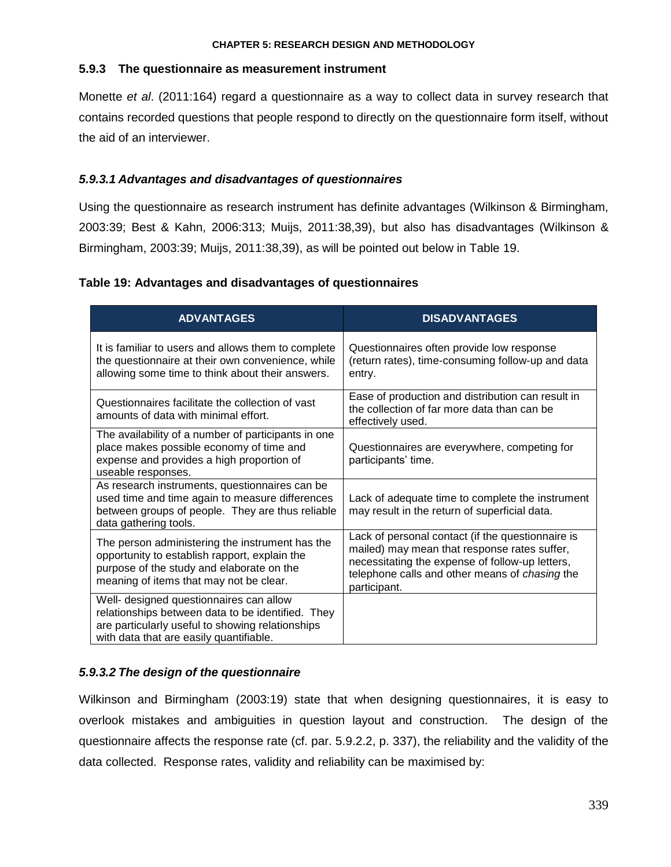# **5.9.3 The questionnaire as measurement instrument**

Monette *et al*. (2011:164) regard a questionnaire as a way to collect data in survey research that contains recorded questions that people respond to directly on the questionnaire form itself, without the aid of an interviewer.

# *5.9.3.1 Advantages and disadvantages of questionnaires*

Using the questionnaire as research instrument has definite advantages (Wilkinson & Birmingham, 2003:39; Best & Kahn, 2006:313; Muijs, 2011:38,39), but also has disadvantages (Wilkinson & Birmingham, 2003:39; Muijs, 2011:38,39), as will be pointed out below in Table 19.

# **Table 19: Advantages and disadvantages of questionnaires**

| <b>ADVANTAGES</b>                                                                                                                                                                           | <b>DISADVANTAGES</b>                                                                                                                                                                                                   |
|---------------------------------------------------------------------------------------------------------------------------------------------------------------------------------------------|------------------------------------------------------------------------------------------------------------------------------------------------------------------------------------------------------------------------|
| It is familiar to users and allows them to complete<br>the questionnaire at their own convenience, while<br>allowing some time to think about their answers.                                | Questionnaires often provide low response<br>(return rates), time-consuming follow-up and data<br>entry.                                                                                                               |
| Questionnaires facilitate the collection of vast<br>amounts of data with minimal effort.                                                                                                    | Ease of production and distribution can result in<br>the collection of far more data than can be<br>effectively used.                                                                                                  |
| The availability of a number of participants in one<br>place makes possible economy of time and<br>expense and provides a high proportion of<br>useable responses.                          | Questionnaires are everywhere, competing for<br>participants' time.                                                                                                                                                    |
| As research instruments, questionnaires can be<br>used time and time again to measure differences<br>between groups of people. They are thus reliable<br>data gathering tools.              | Lack of adequate time to complete the instrument<br>may result in the return of superficial data.                                                                                                                      |
| The person administering the instrument has the<br>opportunity to establish rapport, explain the<br>purpose of the study and elaborate on the<br>meaning of items that may not be clear.    | Lack of personal contact (if the questionnaire is<br>mailed) may mean that response rates suffer,<br>necessitating the expense of follow-up letters,<br>telephone calls and other means of chasing the<br>participant. |
| Well- designed questionnaires can allow<br>relationships between data to be identified. They<br>are particularly useful to showing relationships<br>with data that are easily quantifiable. |                                                                                                                                                                                                                        |

# *5.9.3.2 The design of the questionnaire*

Wilkinson and Birmingham (2003:19) state that when designing questionnaires, it is easy to overlook mistakes and ambiguities in question layout and construction. The design of the questionnaire affects the response rate (cf. par. 5.9.2.2, p. 337), the reliability and the validity of the data collected. Response rates, validity and reliability can be maximised by: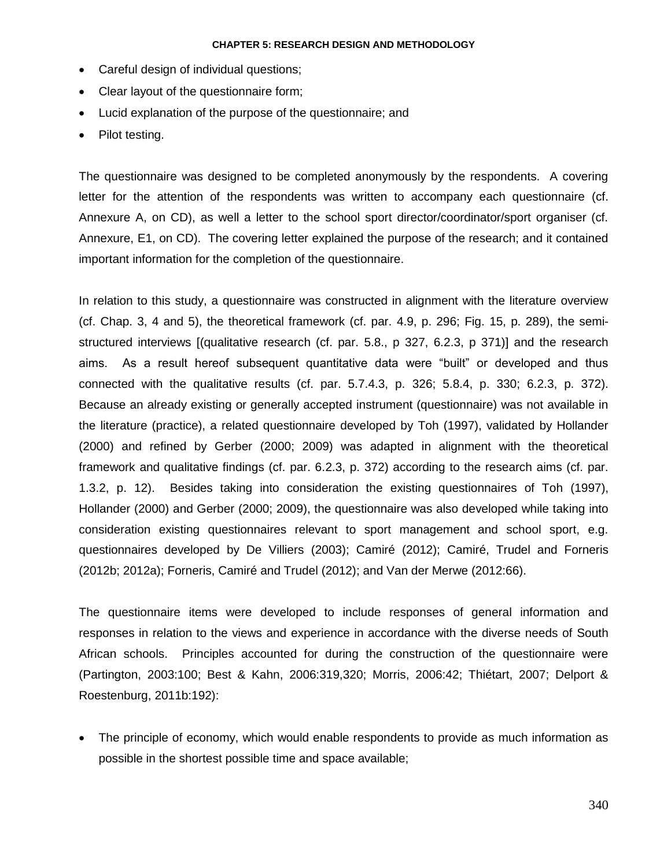- Careful design of individual questions;
- Clear layout of the questionnaire form;
- Lucid explanation of the purpose of the questionnaire; and
- Pilot testing.

The questionnaire was designed to be completed anonymously by the respondents. A covering letter for the attention of the respondents was written to accompany each questionnaire (cf. Annexure A, on CD), as well a letter to the school sport director/coordinator/sport organiser (cf. Annexure, E1, on CD). The covering letter explained the purpose of the research; and it contained important information for the completion of the questionnaire.

In relation to this study, a questionnaire was constructed in alignment with the literature overview (cf. Chap. 3, 4 and 5), the theoretical framework (cf. par. 4.9, p. 296; Fig. 15, p. 289), the semistructured interviews [(qualitative research (cf. par. 5.8., p 327, 6.2.3, p 371)] and the research aims. As a result hereof subsequent quantitative data were "built" or developed and thus connected with the qualitative results (cf. par. 5.7.4.3, p. 326; 5.8.4, p. 330; 6.2.3, p. 372). Because an already existing or generally accepted instrument (questionnaire) was not available in the literature (practice), a related questionnaire developed by Toh (1997), validated by Hollander (2000) and refined by Gerber (2000; 2009) was adapted in alignment with the theoretical framework and qualitative findings (cf. par. 6.2.3, p. 372) according to the research aims (cf. par. 1.3.2, p. 12). Besides taking into consideration the existing questionnaires of Toh (1997), Hollander (2000) and Gerber (2000; 2009), the questionnaire was also developed while taking into consideration existing questionnaires relevant to sport management and school sport, e.g. questionnaires developed by De Villiers (2003); Camiré (2012); Camiré, Trudel and Forneris (2012b; 2012a); Forneris, Camiré and Trudel (2012); and Van der Merwe (2012:66).

The questionnaire items were developed to include responses of general information and responses in relation to the views and experience in accordance with the diverse needs of South African schools. Principles accounted for during the construction of the questionnaire were (Partington, 2003:100; Best & Kahn, 2006:319,320; Morris, 2006:42; Thiétart, 2007; Delport & Roestenburg, 2011b:192):

 The principle of economy, which would enable respondents to provide as much information as possible in the shortest possible time and space available;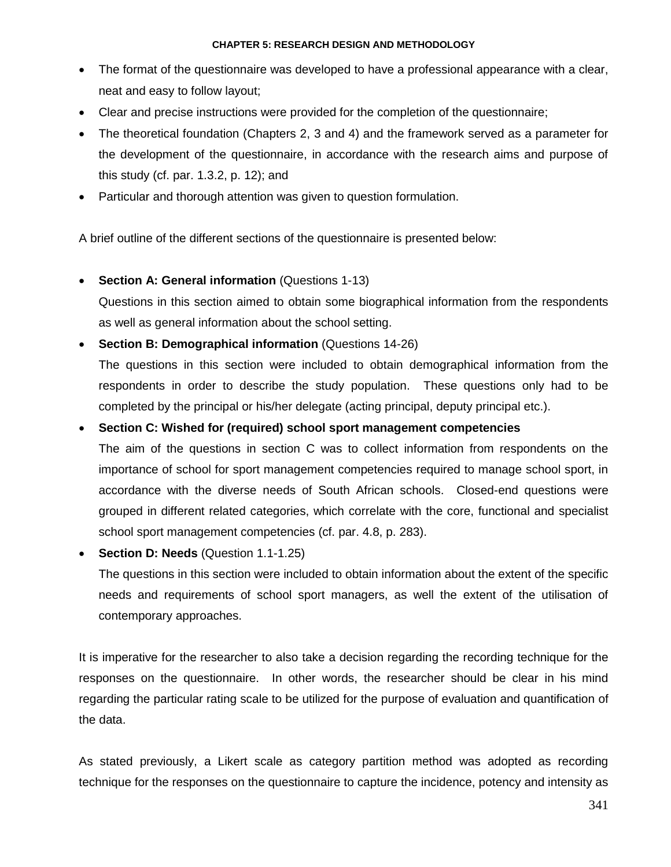- The format of the questionnaire was developed to have a professional appearance with a clear, neat and easy to follow layout;
- Clear and precise instructions were provided for the completion of the questionnaire;
- The theoretical foundation (Chapters 2, 3 and 4) and the framework served as a parameter for the development of the questionnaire, in accordance with the research aims and purpose of this study (cf. par. 1.3.2, p. 12); and
- Particular and thorough attention was given to question formulation.

A brief outline of the different sections of the questionnaire is presented below:

**Section A: General information** (Questions 1-13)

Questions in this section aimed to obtain some biographical information from the respondents as well as general information about the school setting.

**Section B: Demographical information (Questions 14-26)** 

The questions in this section were included to obtain demographical information from the respondents in order to describe the study population. These questions only had to be completed by the principal or his/her delegate (acting principal, deputy principal etc.).

**Section C: Wished for (required) school sport management competencies**

The aim of the questions in section C was to collect information from respondents on the importance of school for sport management competencies required to manage school sport, in accordance with the diverse needs of South African schools. Closed-end questions were grouped in different related categories, which correlate with the core, functional and specialist school sport management competencies (cf. par. 4.8, p. 283).

**Section D: Needs** (Question 1.1-1.25)

The questions in this section were included to obtain information about the extent of the specific needs and requirements of school sport managers, as well the extent of the utilisation of contemporary approaches.

It is imperative for the researcher to also take a decision regarding the recording technique for the responses on the questionnaire. In other words, the researcher should be clear in his mind regarding the particular rating scale to be utilized for the purpose of evaluation and quantification of the data.

As stated previously, a Likert scale as category partition method was adopted as recording technique for the responses on the questionnaire to capture the incidence, potency and intensity as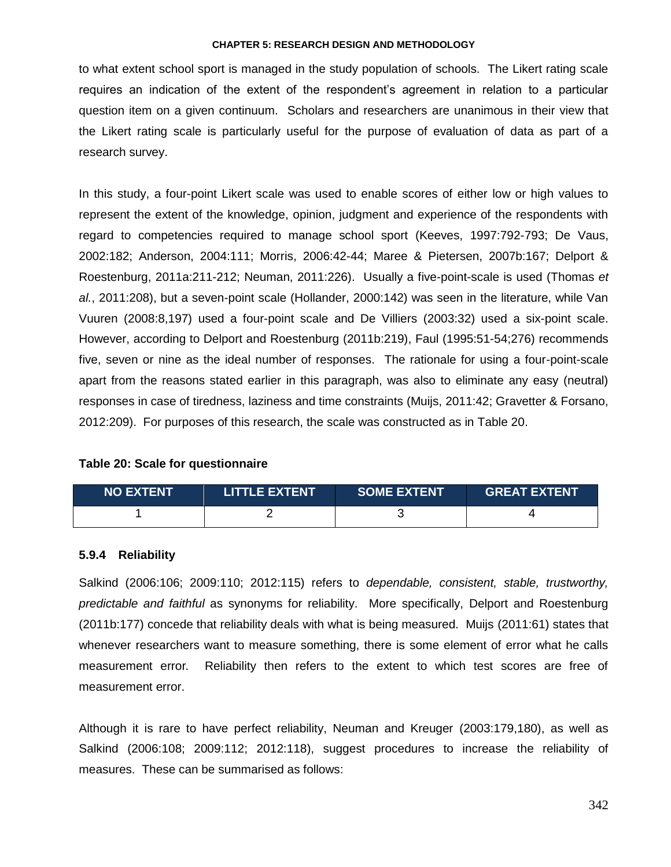to what extent school sport is managed in the study population of schools. The Likert rating scale requires an indication of the extent of the respondent"s agreement in relation to a particular question item on a given continuum. Scholars and researchers are unanimous in their view that the Likert rating scale is particularly useful for the purpose of evaluation of data as part of a research survey.

In this study, a four-point Likert scale was used to enable scores of either low or high values to represent the extent of the knowledge, opinion, judgment and experience of the respondents with regard to competencies required to manage school sport (Keeves, 1997:792-793; De Vaus, 2002:182; Anderson, 2004:111; Morris, 2006:42-44; Maree & Pietersen, 2007b:167; Delport & Roestenburg, 2011a:211-212; Neuman, 2011:226). Usually a five-point-scale is used (Thomas *et al.*, 2011:208), but a seven-point scale (Hollander, 2000:142) was seen in the literature, while Van Vuuren (2008:8,197) used a four-point scale and De Villiers (2003:32) used a six-point scale. However, according to Delport and Roestenburg (2011b:219), Faul (1995:51-54;276) recommends five, seven or nine as the ideal number of responses. The rationale for using a four-point-scale apart from the reasons stated earlier in this paragraph, was also to eliminate any easy (neutral) responses in case of tiredness, laziness and time constraints (Muijs, 2011:42; Gravetter & Forsano, 2012:209). For purposes of this research, the scale was constructed as in Table 20.

## **Table 20: Scale for questionnaire**

| <b>NO EXTENT</b> | <b>LITTLE EXTENT</b> | <b>SOME EXTENT</b> | <b>GREAT EXTENT</b> |
|------------------|----------------------|--------------------|---------------------|
|                  |                      |                    |                     |

## **5.9.4 Reliability**

Salkind (2006:106; 2009:110; 2012:115) refers to *dependable, consistent, stable, trustworthy, predictable and faithful* as synonyms for reliability. More specifically, Delport and Roestenburg (2011b:177) concede that reliability deals with what is being measured. Muijs (2011:61) states that whenever researchers want to measure something, there is some element of error what he calls measurement error*.* Reliability then refers to the extent to which test scores are free of measurement error.

Although it is rare to have perfect reliability, Neuman and Kreuger (2003:179,180), as well as Salkind (2006:108; 2009:112; 2012:118), suggest procedures to increase the reliability of measures. These can be summarised as follows: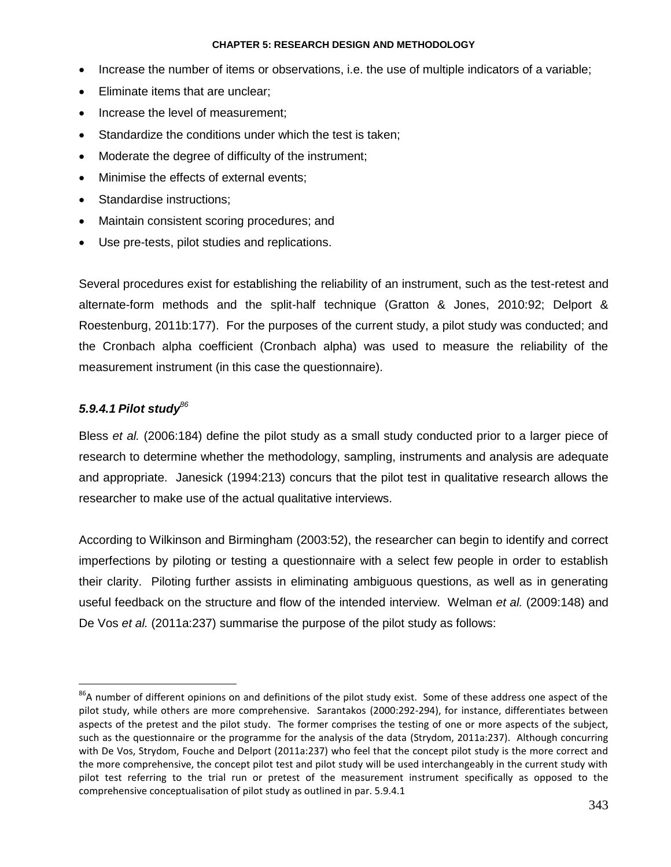- Increase the number of items or observations, i.e. the use of multiple indicators of a variable;
- Eliminate items that are unclear;
- Increase the level of measurement;
- Standardize the conditions under which the test is taken;
- Moderate the degree of difficulty of the instrument;
- Minimise the effects of external events;
- Standardise instructions;
- Maintain consistent scoring procedures; and
- Use pre-tests, pilot studies and replications.

Several procedures exist for establishing the reliability of an instrument, such as the test-retest and alternate-form methods and the split-half technique (Gratton & Jones, 2010:92; Delport & Roestenburg, 2011b:177). For the purposes of the current study, a pilot study was conducted; and the Cronbach alpha coefficient (Cronbach alpha) was used to measure the reliability of the measurement instrument (in this case the questionnaire).

# *5.9.4.1 Pilot study<sup>86</sup>*

 $\overline{a}$ 

Bless *et al.* (2006:184) define the pilot study as a small study conducted prior to a larger piece of research to determine whether the methodology, sampling, instruments and analysis are adequate and appropriate.Janesick (1994:213) concurs that the pilot test in qualitative research allows the researcher to make use of the actual qualitative interviews.

According to Wilkinson and Birmingham (2003:52), the researcher can begin to identify and correct imperfections by piloting or testing a questionnaire with a select few people in order to establish their clarity. Piloting further assists in eliminating ambiguous questions, as well as in generating useful feedback on the structure and flow of the intended interview. Welman *et al.* (2009:148) and De Vos *et al.* (2011a:237) summarise the purpose of the pilot study as follows:

<sup>&</sup>lt;sup>86</sup>A number of different opinions on and definitions of the pilot study exist. Some of these address one aspect of the pilot study, while others are more comprehensive. Sarantakos (2000:292-294), for instance, differentiates between aspects of the pretest and the pilot study. The former comprises the testing of one or more aspects of the subject, such as the questionnaire or the programme for the analysis of the data (Strydom, 2011a:237). Although concurring with De Vos, Strydom, Fouche and Delport (2011a:237) who feel that the concept pilot study is the more correct and the more comprehensive, the concept pilot test and pilot study will be used interchangeably in the current study with pilot test referring to the trial run or pretest of the measurement instrument specifically as opposed to the comprehensive conceptualisation of pilot study as outlined in par. 5.9.4.1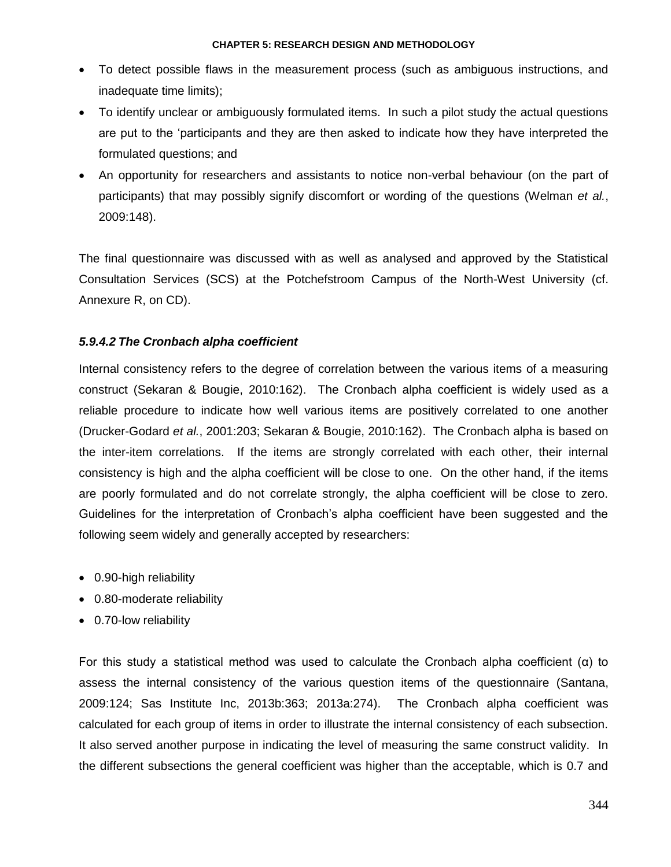- To detect possible flaws in the measurement process (such as ambiguous instructions, and inadequate time limits);
- To identify unclear or ambiguously formulated items. In such a pilot study the actual questions are put to the "participants and they are then asked to indicate how they have interpreted the formulated questions; and
- An opportunity for researchers and assistants to notice non-verbal behaviour (on the part of participants) that may possibly signify discomfort or wording of the questions (Welman *et al.*, 2009:148).

The final questionnaire was discussed with as well as analysed and approved by the Statistical Consultation Services (SCS) at the Potchefstroom Campus of the North-West University (cf. Annexure R, on CD).

# *5.9.4.2 The Cronbach alpha coefficient*

Internal consistency refers to the degree of correlation between the various items of a measuring construct (Sekaran & Bougie, 2010:162). The Cronbach alpha coefficient is widely used as a reliable procedure to indicate how well various items are positively correlated to one another (Drucker-Godard *et al.*, 2001:203; Sekaran & Bougie, 2010:162). The Cronbach alpha is based on the inter-item correlations. If the items are strongly correlated with each other, their internal consistency is high and the alpha coefficient will be close to one. On the other hand, if the items are poorly formulated and do not correlate strongly, the alpha coefficient will be close to zero. Guidelines for the interpretation of Cronbach"s alpha coefficient have been suggested and the following seem widely and generally accepted by researchers:

- 0.90-high reliability
- 0.80-moderate reliability
- 0.70-low reliability

For this study a statistical method was used to calculate the Cronbach alpha coefficient (α) to assess the internal consistency of the various question items of the questionnaire (Santana, 2009:124; Sas Institute Inc, 2013b:363; 2013a:274). The Cronbach alpha coefficient was calculated for each group of items in order to illustrate the internal consistency of each subsection. It also served another purpose in indicating the level of measuring the same construct validity. In the different subsections the general coefficient was higher than the acceptable, which is 0.7 and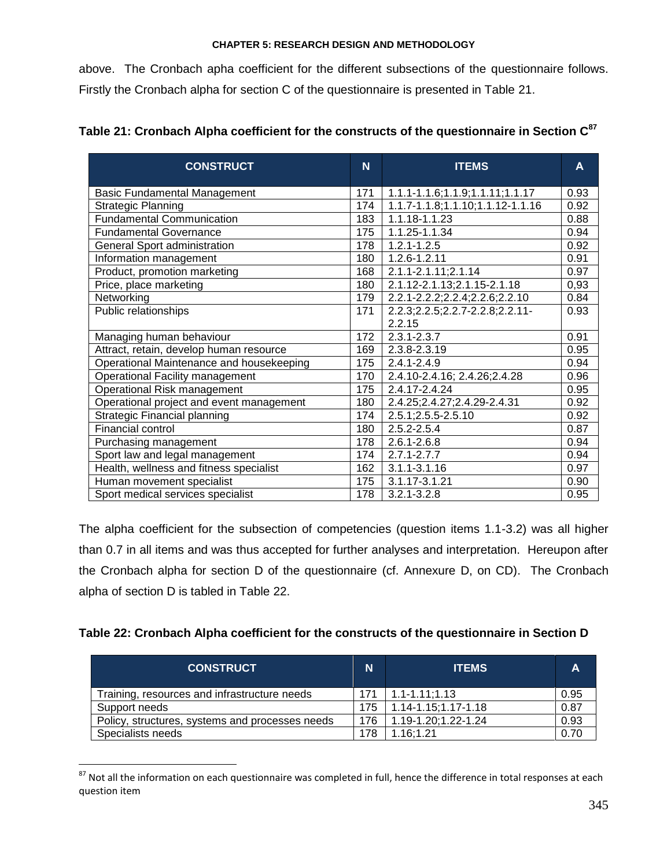above. The Cronbach apha coefficient for the different subsections of the questionnaire follows. Firstly the Cronbach alpha for section C of the questionnaire is presented in Table 21.

| <b>CONSTRUCT</b>                         |     | <b>ITEMS</b>                     | A    |
|------------------------------------------|-----|----------------------------------|------|
| <b>Basic Fundamental Management</b>      | 171 | 1.1.1-1.1.6;1.1.9;1.1.11;1.1.17  | 0.93 |
| <b>Strategic Planning</b>                | 174 | 1.1.7-1.1.8;1.1.10;1.1.12-1.1.16 | 0.92 |
| <b>Fundamental Communication</b>         | 183 | 1.1.18-1.1.23                    | 0.88 |
| <b>Fundamental Governance</b>            | 175 | 1.1.25-1.1.34                    | 0.94 |
| General Sport administration             | 178 | $1.2.1 - 1.2.5$                  | 0.92 |
| Information management                   | 180 | 1.2.6-1.2.11                     | 0.91 |
| Product, promotion marketing             | 168 | 2.1.1-2.1.11;2.1.14              | 0.97 |
| Price, place marketing                   | 180 | 2.1.12-2.1.13;2.1.15-2.1.18      | 0,93 |
| Networking                               | 179 | 2.2.1-2.2.2;2.2.4;2.2.6;2.2.10   | 0.84 |
| Public relationships                     | 171 | 2.2.3;2.2.5;2.2.7-2.2.8;2.2.11-  | 0.93 |
|                                          |     | 2.2.15                           |      |
| Managing human behaviour                 | 172 | $2.3.1 - 2.3.7$                  | 0.91 |
| Attract, retain, develop human resource  | 169 | 2.3.8-2.3.19                     | 0.95 |
| Operational Maintenance and housekeeping | 175 | $2.4.1 - 2.4.9$                  | 0.94 |
| <b>Operational Facility management</b>   | 170 | 2.4.10-2.4.16; 2.4.26; 2.4.28    | 0.96 |
| Operational Risk management              | 175 | 2.4.17-2.4.24                    | 0.95 |
| Operational project and event management | 180 | 2.4.25; 2.4.27; 2.4.29-2.4.31    | 0.92 |
| Strategic Financial planning             | 174 | 2.5.1;2.5.5-2.5.10               | 0.92 |
| Financial control                        | 180 | $2.5.2 - 2.5.4$                  | 0.87 |
| Purchasing management                    | 178 | $2.6.1 - 2.6.8$                  | 0.94 |
| Sport law and legal management           | 174 | $2.7.1 - 2.7.7$                  | 0.94 |
| Health, wellness and fitness specialist  | 162 | $3.1.1 - 3.1.16$                 | 0.97 |
| Human movement specialist                | 175 | 3.1.17-3.1.21                    | 0.90 |
| Sport medical services specialist        | 178 | $3.2.1 - 3.2.8$                  | 0.95 |

# **Table 21: Cronbach Alpha coefficient for the constructs of the questionnaire in Section C<sup>87</sup>**

The alpha coefficient for the subsection of competencies (question items 1.1-3.2) was all higher than 0.7 in all items and was thus accepted for further analyses and interpretation. Hereupon after the Cronbach alpha for section D of the questionnaire (cf. Annexure D, on CD). The Cronbach alpha of section D is tabled in Table 22.

| Table 22: Cronbach Alpha coefficient for the constructs of the questionnaire in Section D |  |  |  |  |  |  |
|-------------------------------------------------------------------------------------------|--|--|--|--|--|--|
|-------------------------------------------------------------------------------------------|--|--|--|--|--|--|

| <b>CONSTRUCT</b>                                | N   | <b>ITEMS</b>              | А    |
|-------------------------------------------------|-----|---------------------------|------|
| Training, resources and infrastructure needs    | 171 | $1.1 - 1.11$ ; 1.13       | 0.95 |
| Support needs                                   | 175 | $1.14 - 1.15$ ; 1.17-1.18 | 0.87 |
| Policy, structures, systems and processes needs | 176 | 1.19-1.20;1.22-1.24       | 0.93 |
| Specialists needs                               | 178 | 1.16:1.21                 | 0.70 |

 $87$  Not all the information on each questionnaire was completed in full, hence the difference in total responses at each question item

 $\overline{a}$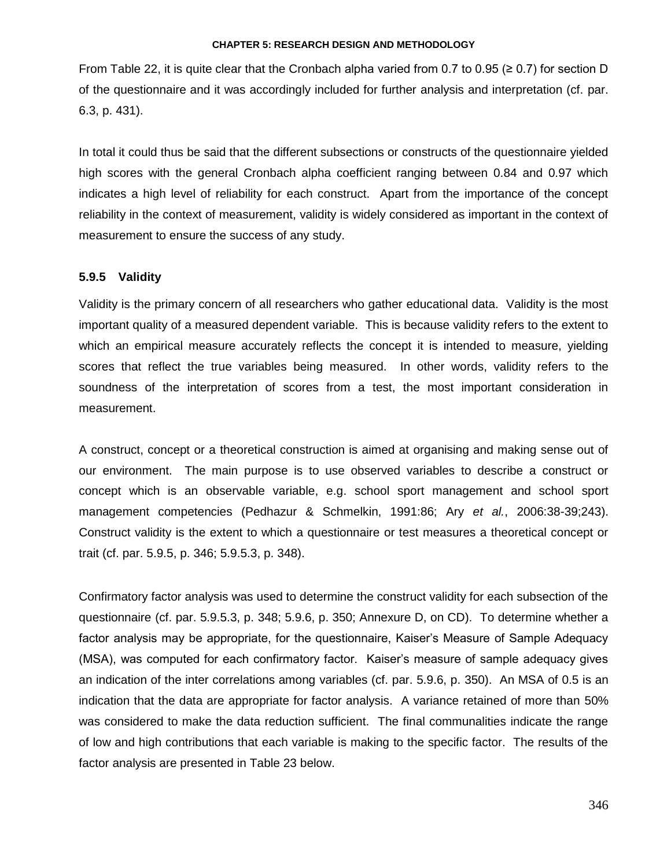From Table 22, it is quite clear that the Cronbach alpha varied from 0.7 to 0.95 ( $\geq$  0.7) for section D of the questionnaire and it was accordingly included for further analysis and interpretation (cf. par. 6.3, p. 431).

In total it could thus be said that the different subsections or constructs of the questionnaire yielded high scores with the general Cronbach alpha coefficient ranging between 0.84 and 0.97 which indicates a high level of reliability for each construct. Apart from the importance of the concept reliability in the context of measurement, validity is widely considered as important in the context of measurement to ensure the success of any study.

## **5.9.5 Validity**

Validity is the primary concern of all researchers who gather educational data. Validity is the most important quality of a measured dependent variable. This is because validity refers to the extent to which an empirical measure accurately reflects the concept it is intended to measure, yielding scores that reflect the true variables being measured. In other words, validity refers to the soundness of the interpretation of scores from a test, the most important consideration in measurement.

A construct, concept or a theoretical construction is aimed at organising and making sense out of our environment. The main purpose is to use observed variables to describe a construct or concept which is an observable variable, e.g. school sport management and school sport management competencies (Pedhazur & Schmelkin, 1991:86; Ary *et al.*, 2006:38-39;243). Construct validity is the extent to which a questionnaire or test measures a theoretical concept or trait (cf. par. 5.9.5, p. 346; 5.9.5.3, p. 348).

Confirmatory factor analysis was used to determine the construct validity for each subsection of the questionnaire (cf. par. 5.9.5.3, p. 348; 5.9.6, p. 350; Annexure D, on CD). To determine whether a factor analysis may be appropriate, for the questionnaire, Kaiser"s Measure of Sample Adequacy (MSA), was computed for each confirmatory factor. Kaiser"s measure of sample adequacy gives an indication of the inter correlations among variables (cf. par. 5.9.6, p. 350). An MSA of 0.5 is an indication that the data are appropriate for factor analysis. A variance retained of more than 50% was considered to make the data reduction sufficient. The final communalities indicate the range of low and high contributions that each variable is making to the specific factor. The results of the factor analysis are presented in Table 23 below.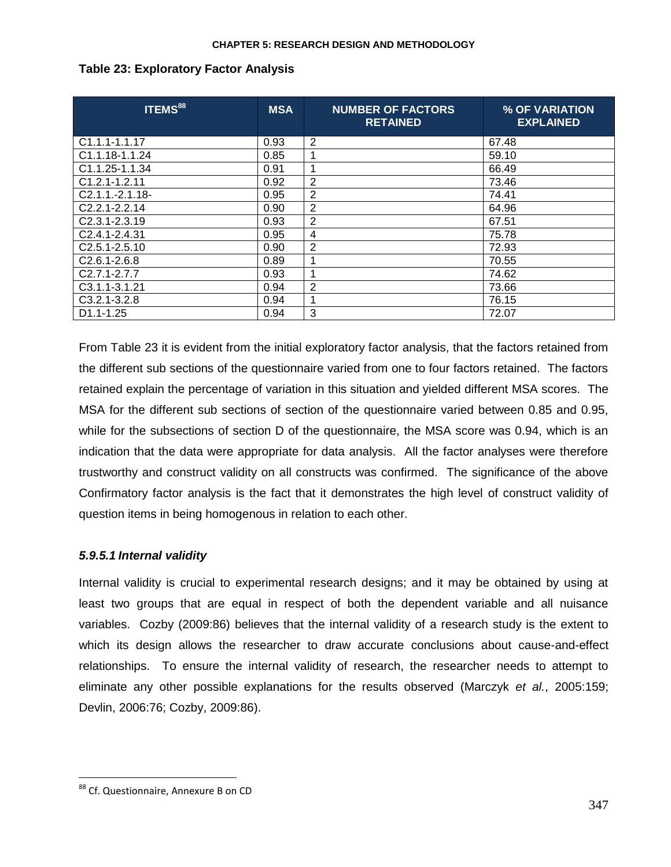| <b>ITEMS</b> 88            | <b>MSA</b> | <b>NUMBER OF FACTORS</b><br><b>RETAINED</b> | % OF VARIATION<br><b>EXPLAINED</b> |
|----------------------------|------------|---------------------------------------------|------------------------------------|
| $C1.1.1 - 1.1.17$          | 0.93       | 2                                           | 67.48                              |
| C1.1.18-1.1.24             | 0.85       | 1                                           | 59.10                              |
| C1.1.25-1.1.34             | 0.91       | 1                                           | 66.49                              |
| $C1.2.1 - 1.2.11$          | 0.92       | $\overline{2}$                              | 73.46                              |
| C2.1.1.-2.1.18-            | 0.95       | $\overline{2}$                              | 74.41                              |
| $C2.2.1 - 2.2.14$          | 0.90       | $\overline{2}$                              | 64.96                              |
| C <sub>2.3.1</sub> -2.3.19 | 0.93       | 2                                           | 67.51                              |
| C <sub>2.4.1</sub> -2.4.31 | 0.95       | 4                                           | 75.78                              |
| C <sub>2.5</sub> .1-2.5.10 | 0.90       | 2                                           | 72.93                              |
| C <sub>2.6.1</sub> -2.6.8  | 0.89       | 1                                           | 70.55                              |
| $C2.7.1 - 2.7.7$           | 0.93       | 1                                           | 74.62                              |
| C <sub>3</sub> .1.1-3.1.21 | 0.94       | 2                                           | 73.66                              |
| $C3.2.1 - 3.2.8$           | 0.94       | 1                                           | 76.15                              |
| D1.1-1.25                  | 0.94       | 3                                           | 72.07                              |

# **Table 23: Exploratory Factor Analysis**

From Table 23 it is evident from the initial exploratory factor analysis, that the factors retained from the different sub sections of the questionnaire varied from one to four factors retained. The factors retained explain the percentage of variation in this situation and yielded different MSA scores. The MSA for the different sub sections of section of the questionnaire varied between 0.85 and 0.95, while for the subsections of section D of the questionnaire, the MSA score was 0.94, which is an indication that the data were appropriate for data analysis. All the factor analyses were therefore trustworthy and construct validity on all constructs was confirmed. The significance of the above Confirmatory factor analysis is the fact that it demonstrates the high level of construct validity of question items in being homogenous in relation to each other.

# *5.9.5.1 Internal validity*

Internal validity is crucial to experimental research designs; and it may be obtained by using at least two groups that are equal in respect of both the dependent variable and all nuisance variables. Cozby (2009:86) believes that the internal validity of a research study is the extent to which its design allows the researcher to draw accurate conclusions about cause-and-effect relationships. To ensure the internal validity of research, the researcher needs to attempt to eliminate any other possible explanations for the results observed (Marczyk *et al.*, 2005:159; Devlin, 2006:76; Cozby, 2009:86).

 $\overline{a}$ 

<sup>88</sup> Cf. Questionnaire, Annexure B on CD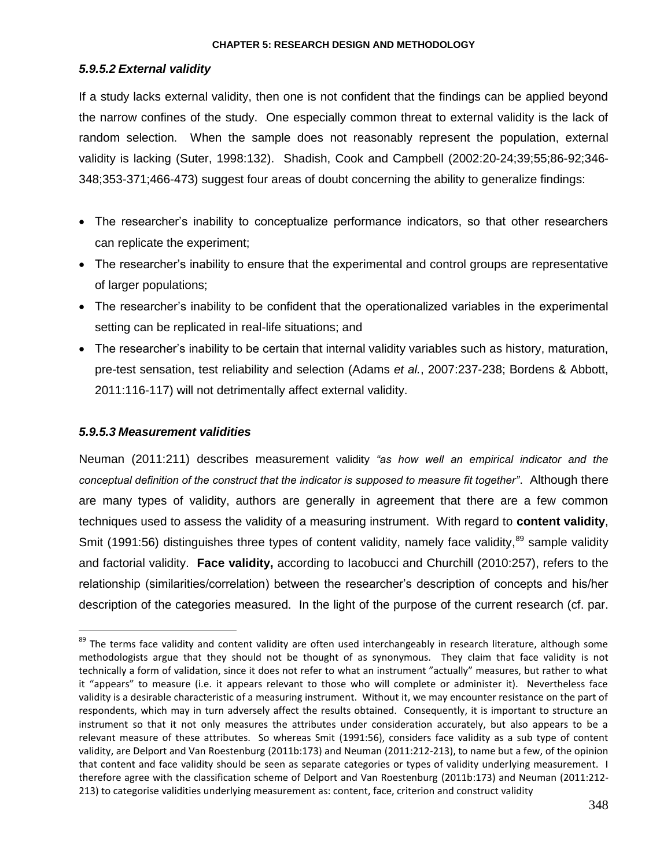# *5.9.5.2 External validity*

If a study lacks external validity, then one is not confident that the findings can be applied beyond the narrow confines of the study. One especially common threat to external validity is the lack of random selection. When the sample does not reasonably represent the population, external validity is lacking (Suter, 1998:132). Shadish, Cook and Campbell (2002:20-24;39;55;86-92;346- 348;353-371;466-473) suggest four areas of doubt concerning the ability to generalize findings:

- The researcher's inability to conceptualize performance indicators, so that other researchers can replicate the experiment;
- The researcher"s inability to ensure that the experimental and control groups are representative of larger populations;
- The researcher"s inability to be confident that the operationalized variables in the experimental setting can be replicated in real-life situations; and
- The researcher"s inability to be certain that internal validity variables such as history, maturation, pre-test sensation, test reliability and selection (Adams *et al.*, 2007:237-238; Bordens & Abbott, 2011:116-117) will not detrimentally affect external validity.

# *5.9.5.3 Measurement validities*

 $\overline{a}$ 

Neuman (2011:211) describes measurement validity *"as how well an empirical indicator and the conceptual definition of the construct that the indicator is supposed to measure fit together"*. Although there are many types of validity, authors are generally in agreement that there are a few common techniques used to assess the validity of a measuring instrument. With regard to **content validity**, Smit (1991:56) distinguishes three types of content validity, namely face validity,<sup>89</sup> sample validity and factorial validity. **Face validity,** according to Iacobucci and Churchill (2010:257), refers to the relationship (similarities/correlation) between the researcher"s description of concepts and his/her description of the categories measured. In the light of the purpose of the current research (cf. par.

<sup>&</sup>lt;sup>89</sup> The terms face validity and content validity are often used interchangeably in research literature, although some methodologists argue that they should not be thought of as synonymous. They claim that face validity is not technically a form of validation, since it does not refer to what an instrument "actually" measures, but rather to what it "appears" to measure (i.e. it appears relevant to those who will complete or administer it). Nevertheless face validity is a desirable characteristic of a measuring instrument. Without it, we may encounter resistance on the part of respondents, which may in turn adversely affect the results obtained. Consequently, it is important to structure an instrument so that it not only measures the attributes under consideration accurately, but also appears to be a relevant measure of these attributes. So whereas Smit (1991:56), considers face validity as a sub type of content validity, are Delport and Van Roestenburg (2011b:173) and Neuman (2011:212-213), to name but a few, of the opinion that content and face validity should be seen as separate categories or types of validity underlying measurement. I therefore agree with the classification scheme of Delport and Van Roestenburg (2011b:173) and Neuman (2011:212- 213) to categorise validities underlying measurement as: content, face, criterion and construct validity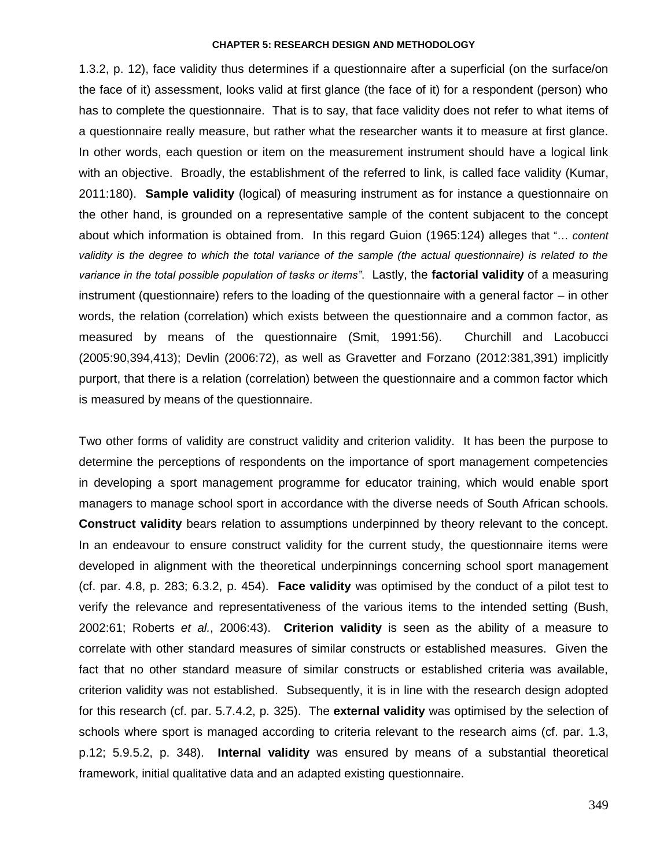1.3.2, p. 12), face validity thus determines if a questionnaire after a superficial (on the surface/on the face of it) assessment, looks valid at first glance (the face of it) for a respondent (person) who has to complete the questionnaire. That is to say, that face validity does not refer to what items of a questionnaire really measure, but rather what the researcher wants it to measure at first glance. In other words, each question or item on the measurement instrument should have a logical link with an objective. Broadly, the establishment of the referred to link, is called face validity (Kumar, 2011:180). **Sample validity** (logical) of measuring instrument as for instance a questionnaire on the other hand, is grounded on a representative sample of the content subjacent to the concept about which information is obtained from. In this regard Guion (1965:124) alleges that "… *content validity is the degree to which the total variance of the sample (the actual questionnaire) is related to the variance in the total possible population of tasks or items"*. Lastly, the **factorial validity** of a measuring instrument (questionnaire) refers to the loading of the questionnaire with a general factor – in other words, the relation (correlation) which exists between the questionnaire and a common factor, as measured by means of the questionnaire (Smit, 1991:56). Churchill and Lacobucci (2005:90,394,413); Devlin (2006:72), as well as Gravetter and Forzano (2012:381,391) implicitly purport, that there is a relation (correlation) between the questionnaire and a common factor which is measured by means of the questionnaire.

Two other forms of validity are construct validity and criterion validity. It has been the purpose to determine the perceptions of respondents on the importance of sport management competencies in developing a sport management programme for educator training, which would enable sport managers to manage school sport in accordance with the diverse needs of South African schools. **Construct validity** bears relation to assumptions underpinned by theory relevant to the concept. In an endeavour to ensure construct validity for the current study, the questionnaire items were developed in alignment with the theoretical underpinnings concerning school sport management (cf. par. 4.8, p. 283; 6.3.2, p. 454). **Face validity** was optimised by the conduct of a pilot test to verify the relevance and representativeness of the various items to the intended setting (Bush, 2002:61; Roberts *et al.*, 2006:43). **Criterion validity** is seen as the ability of a measure to correlate with other standard measures of similar constructs or established measures. Given the fact that no other standard measure of similar constructs or established criteria was available, criterion validity was not established. Subsequently, it is in line with the research design adopted for this research (cf. par. 5.7.4.2, p. 325). The **external validity** was optimised by the selection of schools where sport is managed according to criteria relevant to the research aims (cf. par. 1.3, p.12; 5.9.5.2, p. 348). **Internal validity** was ensured by means of a substantial theoretical framework, initial qualitative data and an adapted existing questionnaire.

349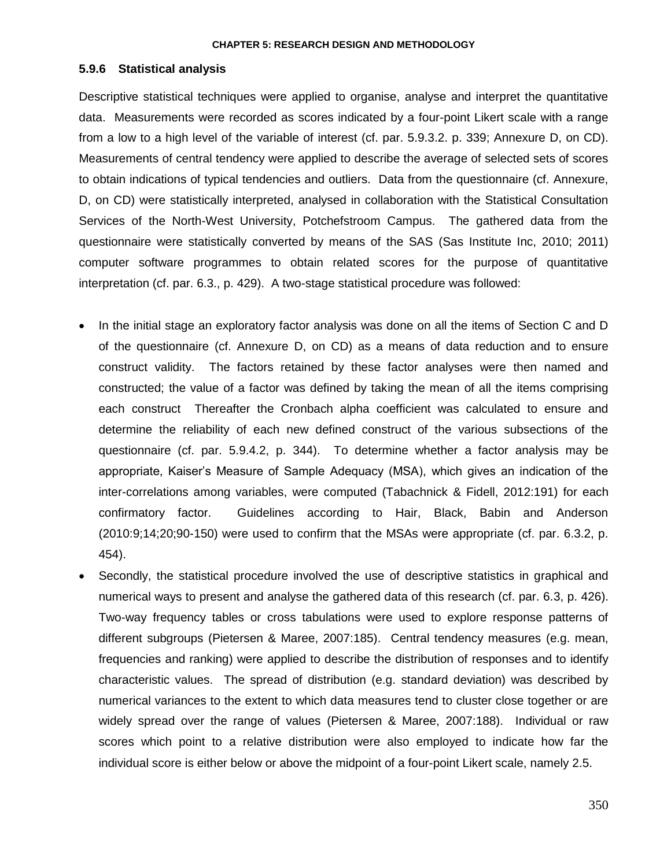## **5.9.6 Statistical analysis**

Descriptive statistical techniques were applied to organise, analyse and interpret the quantitative data. Measurements were recorded as scores indicated by a four-point Likert scale with a range from a low to a high level of the variable of interest (cf. par. 5.9.3.2. p. 339; Annexure D, on CD). Measurements of central tendency were applied to describe the average of selected sets of scores to obtain indications of typical tendencies and outliers. Data from the questionnaire (cf. Annexure, D, on CD) were statistically interpreted, analysed in collaboration with the Statistical Consultation Services of the North-West University, Potchefstroom Campus. The gathered data from the questionnaire were statistically converted by means of the SAS (Sas Institute Inc, 2010; 2011) computer software programmes to obtain related scores for the purpose of quantitative interpretation (cf. par. 6.3., p. 429). A two-stage statistical procedure was followed:

- In the initial stage an exploratory factor analysis was done on all the items of Section C and D of the questionnaire (cf. Annexure D, on CD) as a means of data reduction and to ensure construct validity. The factors retained by these factor analyses were then named and constructed; the value of a factor was defined by taking the mean of all the items comprising each construct Thereafter the Cronbach alpha coefficient was calculated to ensure and determine the reliability of each new defined construct of the various subsections of the questionnaire (cf. par. 5.9.4.2, p. 344). To determine whether a factor analysis may be appropriate, Kaiser"s Measure of Sample Adequacy (MSA), which gives an indication of the inter-correlations among variables, were computed (Tabachnick & Fidell, 2012:191) for each confirmatory factor. Guidelines according to Hair, Black, Babin and Anderson (2010:9;14;20;90-150) were used to confirm that the MSAs were appropriate (cf. par. 6.3.2, p. 454).
- Secondly, the statistical procedure involved the use of descriptive statistics in graphical and numerical ways to present and analyse the gathered data of this research (cf. par. 6.3, p. 426). Two-way frequency tables or cross tabulations were used to explore response patterns of different subgroups (Pietersen & Maree, 2007:185). Central tendency measures (e.g. mean, frequencies and ranking) were applied to describe the distribution of responses and to identify characteristic values. The spread of distribution (e.g. standard deviation) was described by numerical variances to the extent to which data measures tend to cluster close together or are widely spread over the range of values (Pietersen & Maree, 2007:188). Individual or raw scores which point to a relative distribution were also employed to indicate how far the individual score is either below or above the midpoint of a four-point Likert scale, namely 2.5.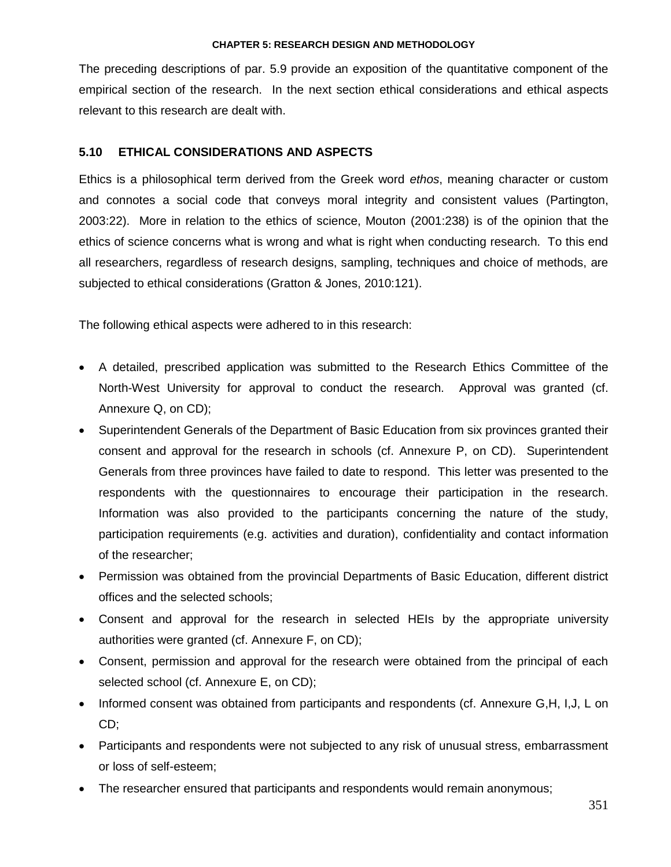The preceding descriptions of par. 5.9 provide an exposition of the quantitative component of the empirical section of the research. In the next section ethical considerations and ethical aspects relevant to this research are dealt with.

# **5.10 ETHICAL CONSIDERATIONS AND ASPECTS**

Ethics is a philosophical term derived from the Greek word *ethos*, meaning character or custom and connotes a social code that conveys moral integrity and consistent values (Partington, 2003:22). More in relation to the ethics of science, Mouton (2001:238) is of the opinion that the ethics of science concerns what is wrong and what is right when conducting research. To this end all researchers, regardless of research designs, sampling, techniques and choice of methods, are subjected to ethical considerations (Gratton & Jones, 2010:121).

The following ethical aspects were adhered to in this research:

- A detailed, prescribed application was submitted to the Research Ethics Committee of the North-West University for approval to conduct the research. Approval was granted (cf. Annexure Q, on CD);
- Superintendent Generals of the Department of Basic Education from six provinces granted their consent and approval for the research in schools (cf. Annexure P, on CD). Superintendent Generals from three provinces have failed to date to respond. This letter was presented to the respondents with the questionnaires to encourage their participation in the research. Information was also provided to the participants concerning the nature of the study, participation requirements (e.g. activities and duration), confidentiality and contact information of the researcher;
- Permission was obtained from the provincial Departments of Basic Education, different district offices and the selected schools;
- Consent and approval for the research in selected HEIs by the appropriate university authorities were granted (cf. Annexure F, on CD);
- Consent, permission and approval for the research were obtained from the principal of each selected school (cf. Annexure E, on CD);
- Informed consent was obtained from participants and respondents (cf. Annexure G,H, I,J, L on CD;
- Participants and respondents were not subjected to any risk of unusual stress, embarrassment or loss of self-esteem;
- The researcher ensured that participants and respondents would remain anonymous;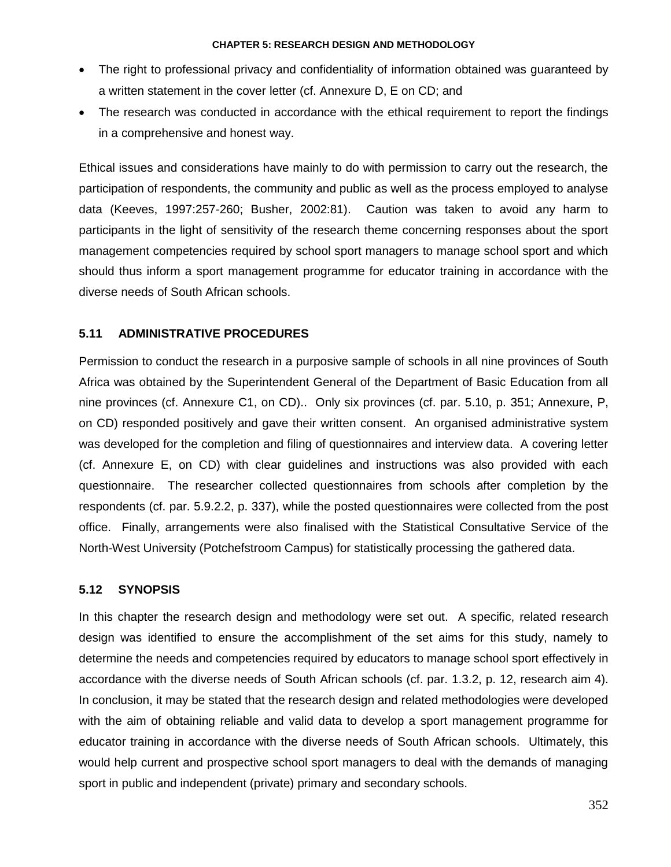- The right to professional privacy and confidentiality of information obtained was quaranteed by a written statement in the cover letter (cf. Annexure D, E on CD; and
- The research was conducted in accordance with the ethical requirement to report the findings in a comprehensive and honest way.

Ethical issues and considerations have mainly to do with permission to carry out the research, the participation of respondents, the community and public as well as the process employed to analyse data (Keeves, 1997:257-260; Busher, 2002:81). Caution was taken to avoid any harm to participants in the light of sensitivity of the research theme concerning responses about the sport management competencies required by school sport managers to manage school sport and which should thus inform a sport management programme for educator training in accordance with the diverse needs of South African schools.

# **5.11 ADMINISTRATIVE PROCEDURES**

Permission to conduct the research in a purposive sample of schools in all nine provinces of South Africa was obtained by the Superintendent General of the Department of Basic Education from all nine provinces (cf. Annexure C1, on CD).. Only six provinces (cf. par. 5.10, p. 351; Annexure, P, on CD) responded positively and gave their written consent. An organised administrative system was developed for the completion and filing of questionnaires and interview data. A covering letter (cf. Annexure E, on CD) with clear guidelines and instructions was also provided with each questionnaire. The researcher collected questionnaires from schools after completion by the respondents (cf. par. 5.9.2.2, p. 337), while the posted questionnaires were collected from the post office. Finally, arrangements were also finalised with the Statistical Consultative Service of the North-West University (Potchefstroom Campus) for statistically processing the gathered data.

# **5.12 SYNOPSIS**

In this chapter the research design and methodology were set out. A specific, related research design was identified to ensure the accomplishment of the set aims for this study, namely to determine the needs and competencies required by educators to manage school sport effectively in accordance with the diverse needs of South African schools (cf. par. 1.3.2, p. 12, research aim 4). In conclusion, it may be stated that the research design and related methodologies were developed with the aim of obtaining reliable and valid data to develop a sport management programme for educator training in accordance with the diverse needs of South African schools. Ultimately, this would help current and prospective school sport managers to deal with the demands of managing sport in public and independent (private) primary and secondary schools.